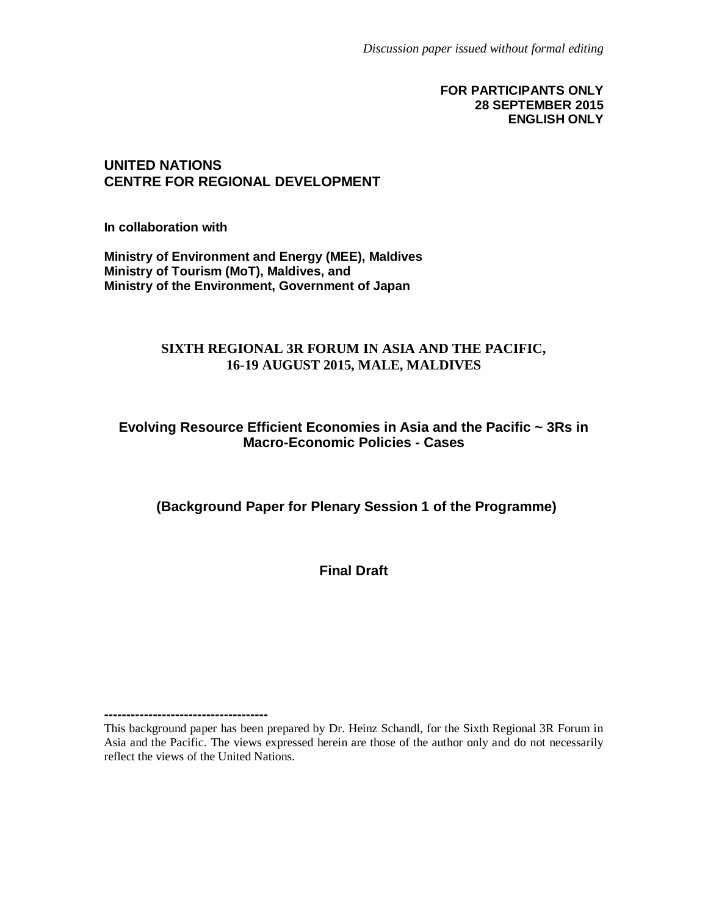#### **FOR PARTICIPANTS ONLY 28 SEPTEMBER 2015 ENGLISH ONLY**

#### **UNITED NATIONS CENTRE FOR REGIONAL DEVELOPMENT**

**In collaboration with**

**-------------------------------------**

**Ministry of Environment and Energy (MEE), Maldives Ministry of Tourism (MoT), Maldives, and Ministry of the Environment, Government of Japan**

#### **SIXTH REGIONAL 3R FORUM IN ASIA AND THE PACIFIC, 16-19 AUGUST 2015, MALE, MALDIVES**

#### **Evolving Resource Efficient Economies in Asia and the Pacific ~ 3Rs in Macro-Economic Policies - Cases**

**(Background Paper for Plenary Session 1 of the Programme)**

**Final Draft**

This background paper has been prepared by Dr. Heinz Schandl, for the Sixth Regional 3R Forum in Asia and the Pacific. The views expressed herein are those of the author only and do not necessarily reflect the views of the United Nations.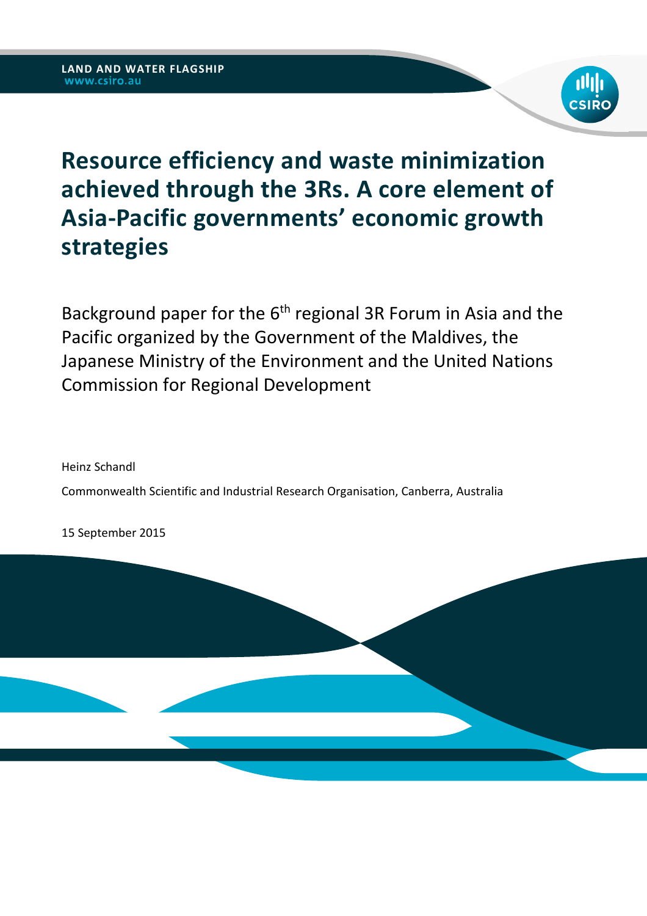

# **Resource efficiency and waste minimization achieved through the 3Rs. A core element of Asia-Pacific governments' economic growth strategies**

Background paper for the  $6<sup>th</sup>$  regional 3R Forum in Asia and the Pacific organized by the Government of the Maldives, the Japanese Ministry of the Environment and the United Nations Commission for Regional Development

Heinz Schandl Commonwealth Scientific and Industrial Research Organisation, Canberra, Australia

15 September 2015

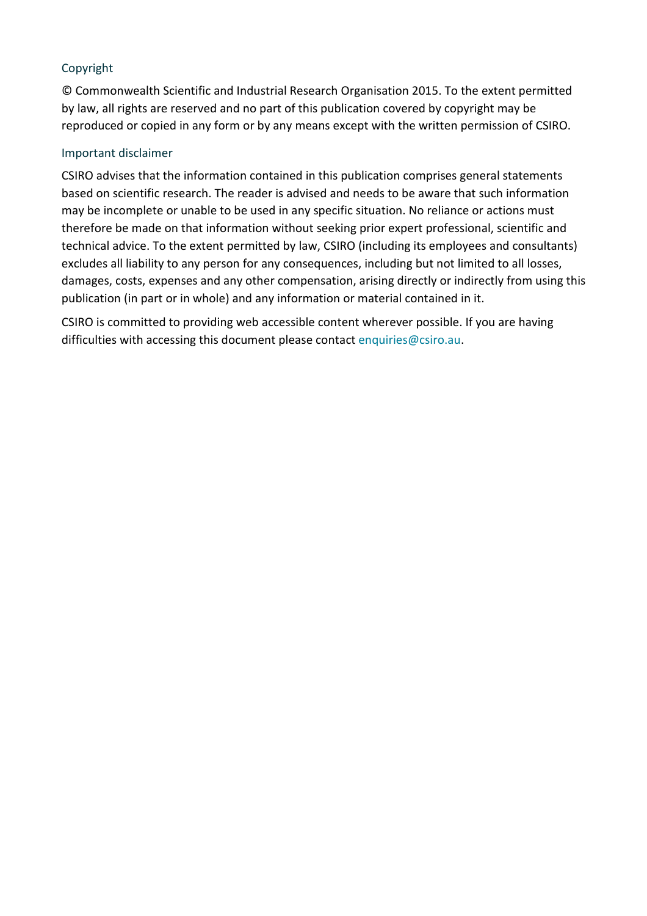### Copyright

© Commonwealth Scientific and Industrial Research Organisation 2015. To the extent permitted by law, all rights are reserved and no part of this publication covered by copyright may be reproduced or copied in any form or by any means except with the written permission of CSIRO.

#### Important disclaimer

CSIRO advises that the information contained in this publication comprises general statements based on scientific research. The reader is advised and needs to be aware that such information may be incomplete or unable to be used in any specific situation. No reliance or actions must therefore be made on that information without seeking prior expert professional, scientific and technical advice. To the extent permitted by law, CSIRO (including its employees and consultants) excludes all liability to any person for any consequences, including but not limited to all losses, damages, costs, expenses and any other compensation, arising directly or indirectly from using this publication (in part or in whole) and any information or material contained in it.

CSIRO is committed to providing web accessible content wherever possible. If you are having difficulties with accessing this document please contact enquiries@csiro.au.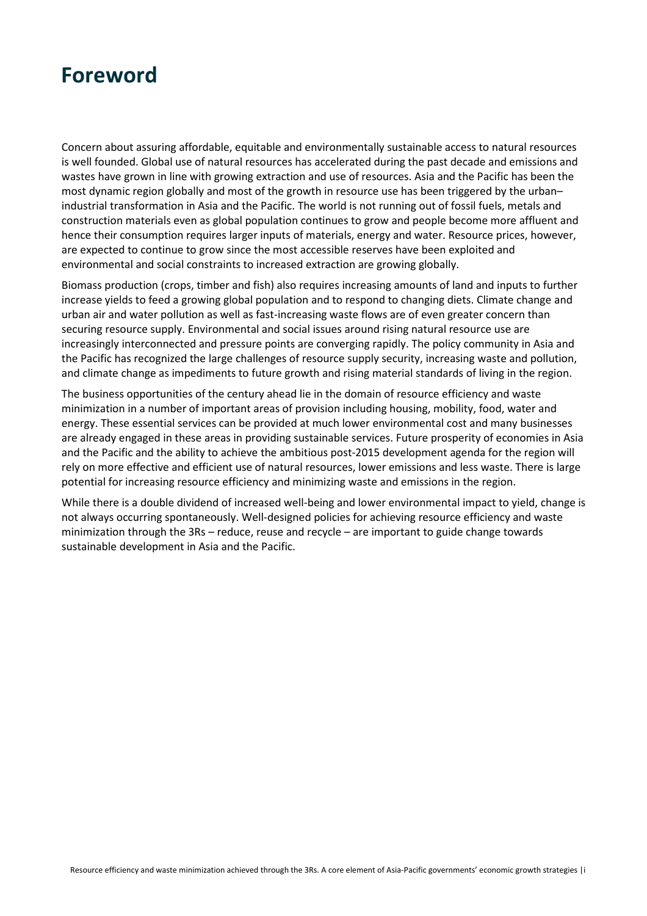

Concern about assuring affordable, equitable and environmentally sustainable access to natural resources is well founded. Global use of natural resources has accelerated during the past decade and emissions and wastes have grown in line with growing extraction and use of resources. Asia and the Pacific has been the most dynamic region globally and most of the growth in resource use has been triggered by the urban– industrial transformation in Asia and the Pacific. The world is not running out of fossil fuels, metals and construction materials even as global population continues to grow and people become more affluent and hence their consumption requires larger inputs of materials, energy and water. Resource prices, however, are expected to continue to grow since the most accessible reserves have been exploited and environmental and social constraints to increased extraction are growing globally.

Biomass production (crops, timber and fish) also requires increasing amounts of land and inputs to further increase yields to feed a growing global population and to respond to changing diets. Climate change and urban air and water pollution as well as fast-increasing waste flows are of even greater concern than securing resource supply. Environmental and social issues around rising natural resource use are increasingly interconnected and pressure points are converging rapidly. The policy community in Asia and the Pacific has recognized the large challenges of resource supply security, increasing waste and pollution, and climate change as impediments to future growth and rising material standards of living in the region.

The business opportunities of the century ahead lie in the domain of resource efficiency and waste minimization in a number of important areas of provision including housing, mobility, food, water and energy. These essential services can be provided at much lower environmental cost and many businesses are already engaged in these areas in providing sustainable services. Future prosperity of economies in Asia and the Pacific and the ability to achieve the ambitious post-2015 development agenda for the region will rely on more effective and efficient use of natural resources, lower emissions and less waste. There is large potential for increasing resource efficiency and minimizing waste and emissions in the region.

While there is a double dividend of increased well-being and lower environmental impact to yield, change is not always occurring spontaneously. Well-designed policies for achieving resource efficiency and waste minimization through the 3Rs – reduce, reuse and recycle – are important to guide change towards sustainable development in Asia and the Pacific.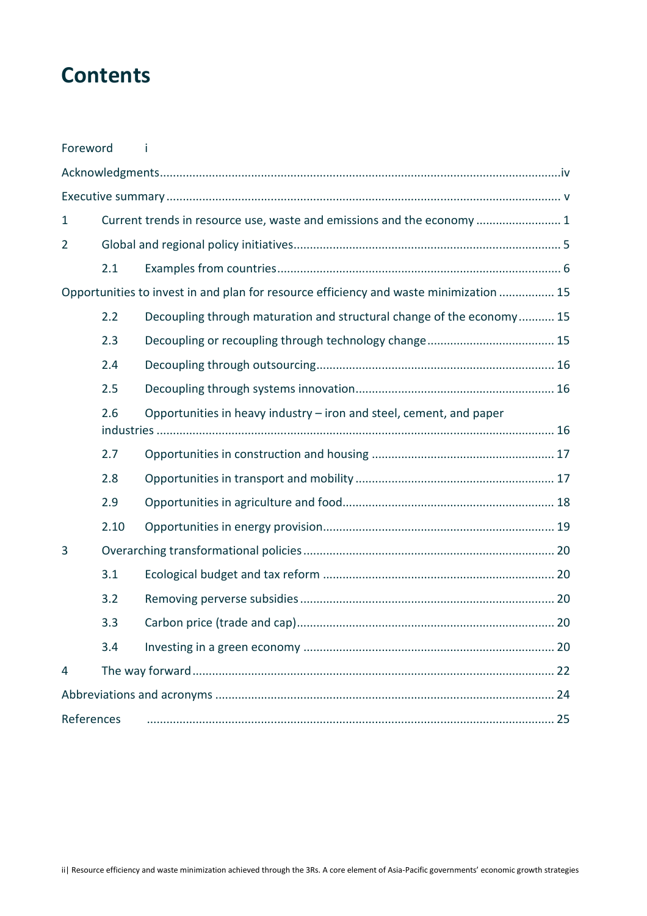## **Contents**

| Foreword                                                                               |                                                                            |                                                                        |  |  |
|----------------------------------------------------------------------------------------|----------------------------------------------------------------------------|------------------------------------------------------------------------|--|--|
|                                                                                        |                                                                            |                                                                        |  |  |
|                                                                                        |                                                                            |                                                                        |  |  |
| $\mathbf{1}$                                                                           |                                                                            | Current trends in resource use, waste and emissions and the economy  1 |  |  |
| $\overline{2}$                                                                         |                                                                            |                                                                        |  |  |
|                                                                                        | 2.1                                                                        |                                                                        |  |  |
| Opportunities to invest in and plan for resource efficiency and waste minimization  15 |                                                                            |                                                                        |  |  |
|                                                                                        | 2.2                                                                        | Decoupling through maturation and structural change of the economy 15  |  |  |
|                                                                                        | 2.3                                                                        |                                                                        |  |  |
|                                                                                        | 2.4                                                                        |                                                                        |  |  |
|                                                                                        | 2.5                                                                        |                                                                        |  |  |
|                                                                                        | Opportunities in heavy industry – iron and steel, cement, and paper<br>2.6 |                                                                        |  |  |
|                                                                                        | 2.7                                                                        |                                                                        |  |  |
|                                                                                        | 2.8                                                                        |                                                                        |  |  |
|                                                                                        | 2.9                                                                        |                                                                        |  |  |
|                                                                                        | 2.10                                                                       |                                                                        |  |  |
| 3                                                                                      |                                                                            |                                                                        |  |  |
|                                                                                        | 3.1                                                                        |                                                                        |  |  |
|                                                                                        | 3.2                                                                        |                                                                        |  |  |
|                                                                                        | 3.3                                                                        |                                                                        |  |  |
|                                                                                        | 3.4                                                                        |                                                                        |  |  |
| 4                                                                                      |                                                                            |                                                                        |  |  |
|                                                                                        |                                                                            |                                                                        |  |  |
| References                                                                             |                                                                            |                                                                        |  |  |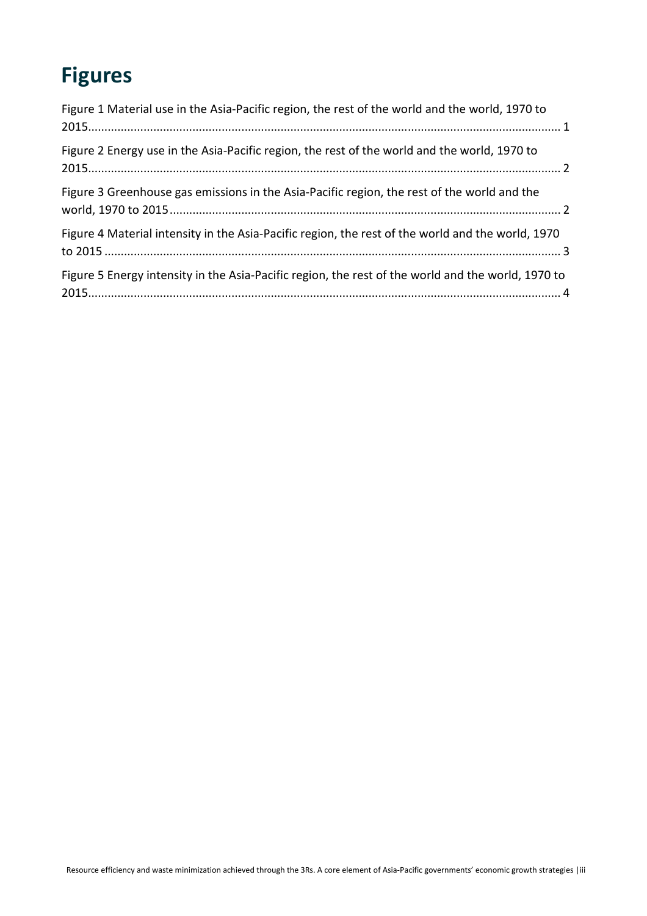# **Figures**

| Figure 1 Material use in the Asia-Pacific region, the rest of the world and the world, 1970 to     |
|----------------------------------------------------------------------------------------------------|
| Figure 2 Energy use in the Asia-Pacific region, the rest of the world and the world, 1970 to       |
| Figure 3 Greenhouse gas emissions in the Asia-Pacific region, the rest of the world and the        |
| Figure 4 Material intensity in the Asia-Pacific region, the rest of the world and the world, 1970  |
| Figure 5 Energy intensity in the Asia-Pacific region, the rest of the world and the world, 1970 to |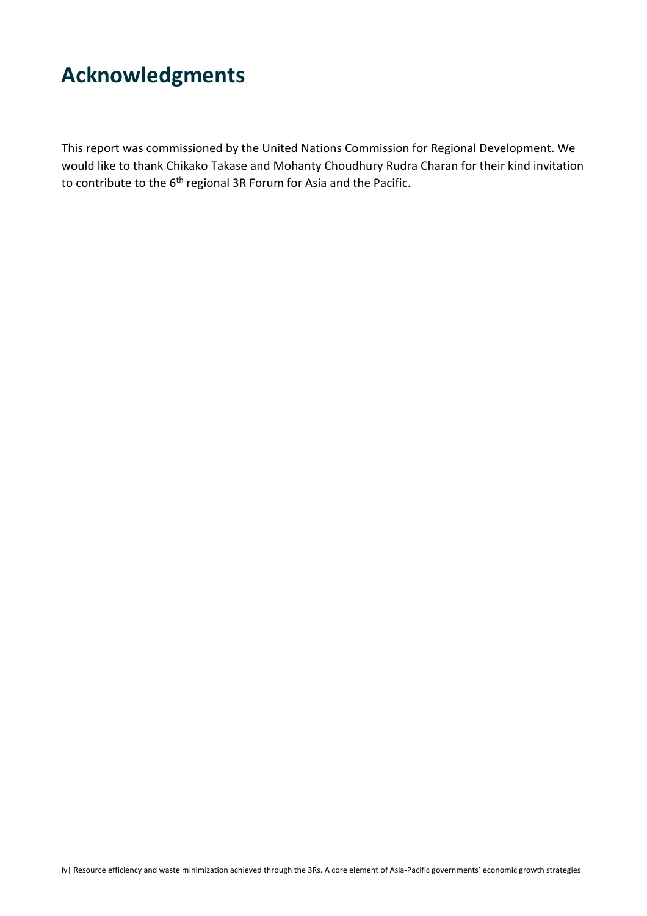# **Acknowledgments**

This report was commissioned by the United Nations Commission for Regional Development. We would like to thank Chikako Takase and Mohanty Choudhury Rudra Charan for their kind invitation to contribute to the 6<sup>th</sup> regional 3R Forum for Asia and the Pacific.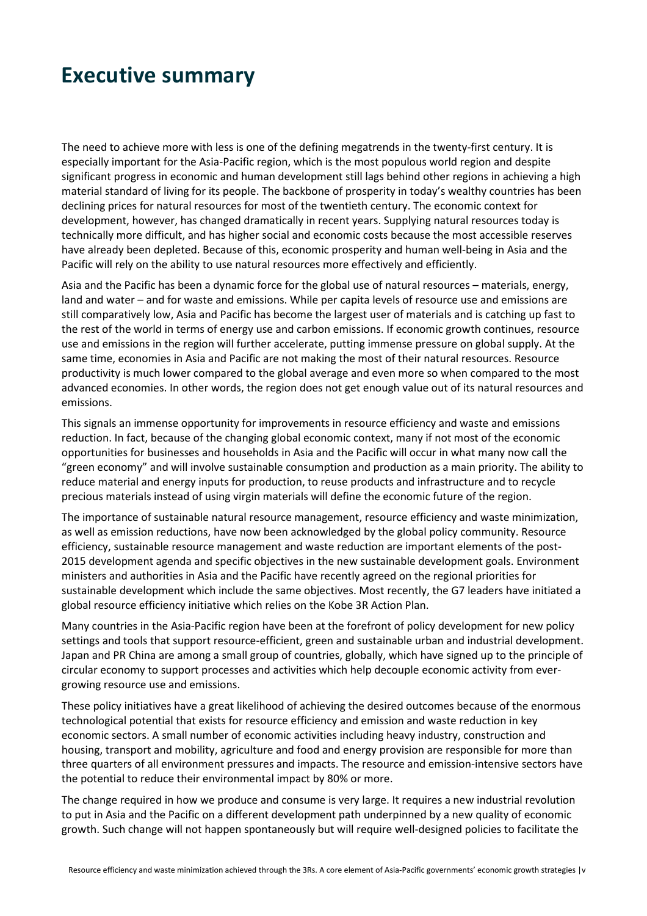## **Executive summary**

The need to achieve more with less is one of the defining megatrends in the twenty-first century. It is especially important for the Asia-Pacific region, which is the most populous world region and despite significant progress in economic and human development still lags behind other regions in achieving a high material standard of living for its people. The backbone of prosperity in today's wealthy countries has been declining prices for natural resources for most of the twentieth century. The economic context for development, however, has changed dramatically in recent years. Supplying natural resources today is technically more difficult, and has higher social and economic costs because the most accessible reserves have already been depleted. Because of this, economic prosperity and human well-being in Asia and the Pacific will rely on the ability to use natural resources more effectively and efficiently.

Asia and the Pacific has been a dynamic force for the global use of natural resources – materials, energy, land and water – and for waste and emissions. While per capita levels of resource use and emissions are still comparatively low, Asia and Pacific has become the largest user of materials and is catching up fast to the rest of the world in terms of energy use and carbon emissions. If economic growth continues, resource use and emissions in the region will further accelerate, putting immense pressure on global supply. At the same time, economies in Asia and Pacific are not making the most of their natural resources. Resource productivity is much lower compared to the global average and even more so when compared to the most advanced economies. In other words, the region does not get enough value out of its natural resources and emissions.

This signals an immense opportunity for improvements in resource efficiency and waste and emissions reduction. In fact, because of the changing global economic context, many if not most of the economic opportunities for businesses and households in Asia and the Pacific will occur in what many now call the "green economy" and will involve sustainable consumption and production as a main priority. The ability to reduce material and energy inputs for production, to reuse products and infrastructure and to recycle precious materials instead of using virgin materials will define the economic future of the region.

The importance of sustainable natural resource management, resource efficiency and waste minimization, as well as emission reductions, have now been acknowledged by the global policy community. Resource efficiency, sustainable resource management and waste reduction are important elements of the post-2015 development agenda and specific objectives in the new sustainable development goals. Environment ministers and authorities in Asia and the Pacific have recently agreed on the regional priorities for sustainable development which include the same objectives. Most recently, the G7 leaders have initiated a global resource efficiency initiative which relies on the Kobe 3R Action Plan.

Many countries in the Asia-Pacific region have been at the forefront of policy development for new policy settings and tools that support resource-efficient, green and sustainable urban and industrial development. Japan and PR China are among a small group of countries, globally, which have signed up to the principle of circular economy to support processes and activities which help decouple economic activity from evergrowing resource use and emissions.

These policy initiatives have a great likelihood of achieving the desired outcomes because of the enormous technological potential that exists for resource efficiency and emission and waste reduction in key economic sectors. A small number of economic activities including heavy industry, construction and housing, transport and mobility, agriculture and food and energy provision are responsible for more than three quarters of all environment pressures and impacts. The resource and emission-intensive sectors have the potential to reduce their environmental impact by 80% or more.

The change required in how we produce and consume is very large. It requires a new industrial revolution to put in Asia and the Pacific on a different development path underpinned by a new quality of economic growth. Such change will not happen spontaneously but will require well-designed policies to facilitate the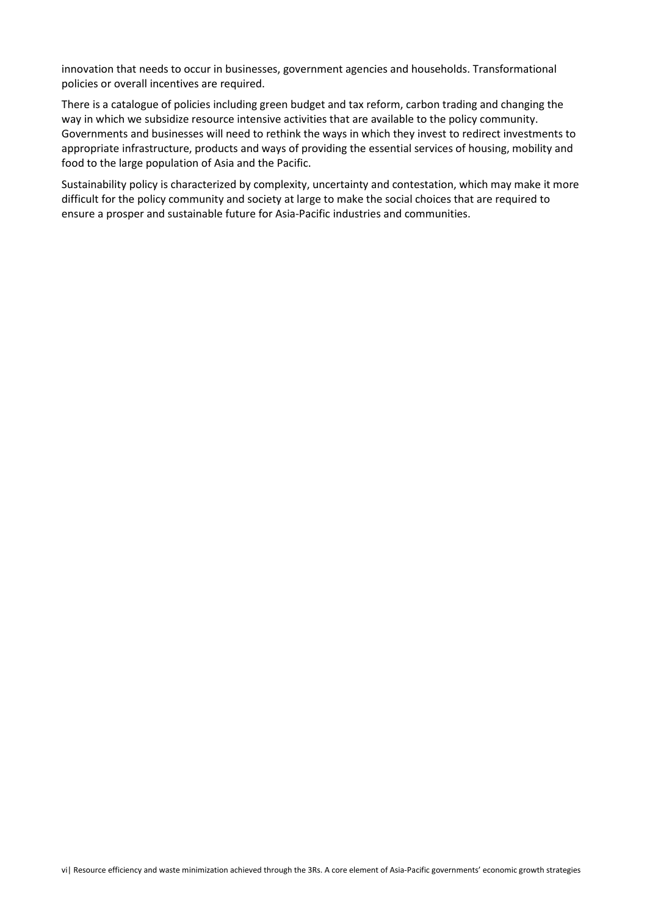innovation that needs to occur in businesses, government agencies and households. Transformational policies or overall incentives are required.

There is a catalogue of policies including green budget and tax reform, carbon trading and changing the way in which we subsidize resource intensive activities that are available to the policy community. Governments and businesses will need to rethink the ways in which they invest to redirect investments to appropriate infrastructure, products and ways of providing the essential services of housing, mobility and food to the large population of Asia and the Pacific.

Sustainability policy is characterized by complexity, uncertainty and contestation, which may make it more difficult for the policy community and society at large to make the social choices that are required to ensure a prosper and sustainable future for Asia-Pacific industries and communities.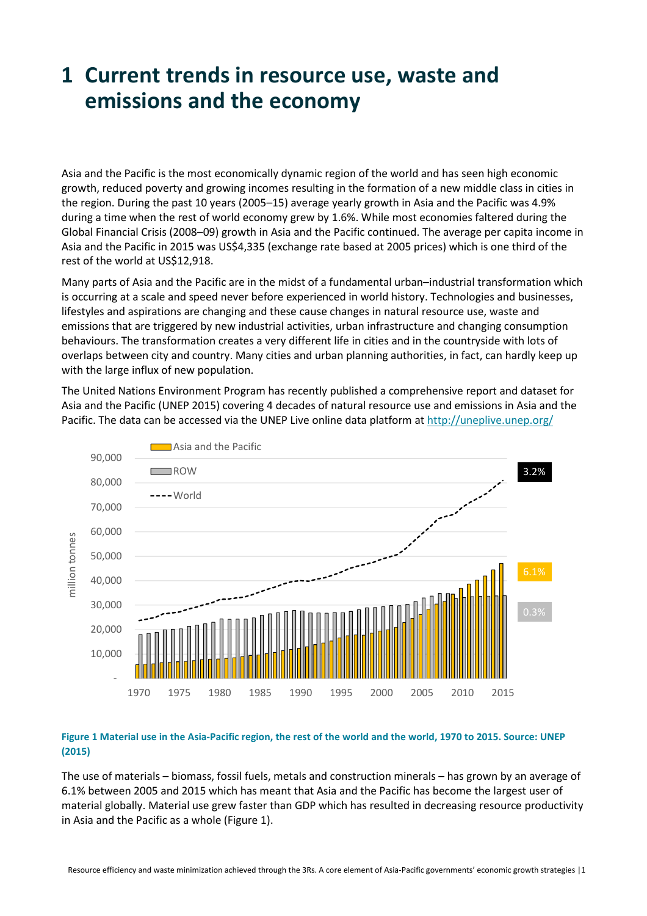## **1 Current trends in resource use, waste and emissions and the economy**

Asia and the Pacific is the most economically dynamic region of the world and has seen high economic growth, reduced poverty and growing incomes resulting in the formation of a new middle class in cities in the region. During the past 10 years (2005–15) average yearly growth in Asia and the Pacific was 4.9% during a time when the rest of world economy grew by 1.6%. While most economies faltered during the Global Financial Crisis (2008–09) growth in Asia and the Pacific continued. The average per capita income in Asia and the Pacific in 2015 was US\$4,335 (exchange rate based at 2005 prices) which is one third of the rest of the world at US\$12,918.

Many parts of Asia and the Pacific are in the midst of a fundamental urban–industrial transformation which is occurring at a scale and speed never before experienced in world history. Technologies and businesses, lifestyles and aspirations are changing and these cause changes in natural resource use, waste and emissions that are triggered by new industrial activities, urban infrastructure and changing consumption behaviours. The transformation creates a very different life in cities and in the countryside with lots of overlaps between city and country. Many cities and urban planning authorities, in fact, can hardly keep up with the large influx of new population.

The United Nations Environment Program has recently published a comprehensive report and dataset for Asia and the Pacific (UNEP 2015) covering 4 decades of natural resource use and emissions in Asia and the Pacific. The data can be accessed via the UNEP Live online data platform at http://uneplive.unep.org/



#### **Figure 1 Material use in the Asia-Pacific region, the rest of the world and the world, 1970 to 2015. Source: UNEP (2015)**

The use of materials – biomass, fossil fuels, metals and construction minerals – has grown by an average of 6.1% between 2005 and 2015 which has meant that Asia and the Pacific has become the largest user of material globally. Material use grew faster than GDP which has resulted in decreasing resource productivity in Asia and the Pacific as a whole (Figure 1).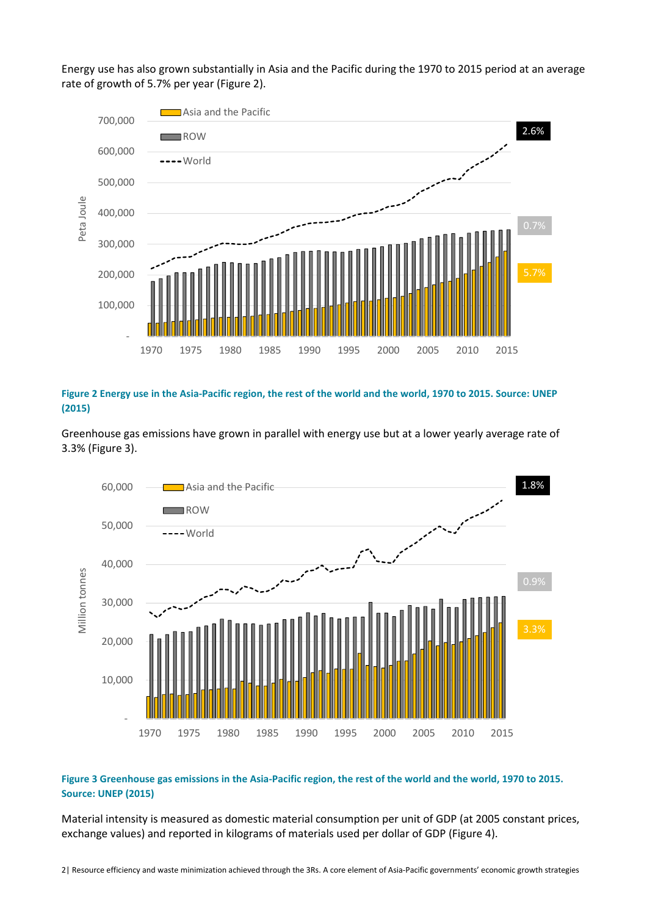Energy use has also grown substantially in Asia and the Pacific during the 1970 to 2015 period at an average rate of growth of 5.7% per year (Figure 2).



**Figure 2 Energy use in the Asia-Pacific region, the rest of the world and the world, 1970 to 2015. Source: UNEP (2015)** 

Greenhouse gas emissions have grown in parallel with energy use but at a lower yearly average rate of 3.3% (Figure 3).



#### **Figure 3 Greenhouse gas emissions in the Asia-Pacific region, the rest of the world and the world, 1970 to 2015. Source: UNEP (2015)**

Material intensity is measured as domestic material consumption per unit of GDP (at 2005 constant prices, exchange values) and reported in kilograms of materials used per dollar of GDP (Figure 4).

2| Resource efficiency and waste minimization achieved through the 3Rs. A core element of Asia-Pacific governments' economic growth strategies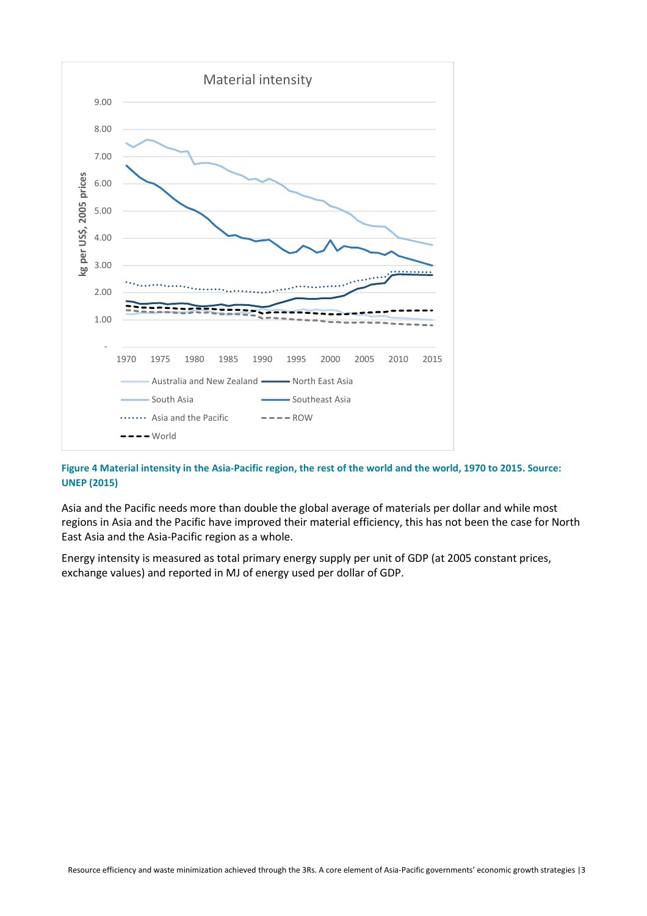

#### **Figure 4 Material intensity in the Asia-Pacific region, the rest of the world and the world, 1970 to 2015. Source: UNEP (2015)**

Asia and the Pacific needs more than double the global average of materials per dollar and while most regions in Asia and the Pacific have improved their material efficiency, this has not been the case for North East Asia and the Asia-Pacific region as a whole.

Energy intensity is measured as total primary energy supply per unit of GDP (at 2005 constant prices, exchange values) and reported in MJ of energy used per dollar of GDP.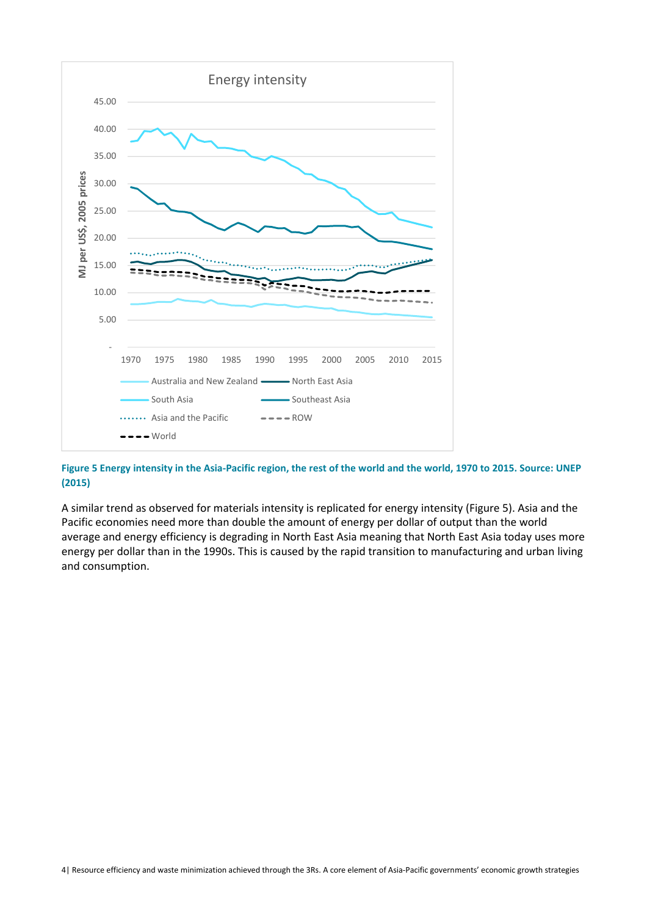

**Figure 5 Energy intensity in the Asia-Pacific region, the rest of the world and the world, 1970 to 2015. Source: UNEP (2015)** 

A similar trend as observed for materials intensity is replicated for energy intensity (Figure 5). Asia and the Pacific economies need more than double the amount of energy per dollar of output than the world average and energy efficiency is degrading in North East Asia meaning that North East Asia today uses more energy per dollar than in the 1990s. This is caused by the rapid transition to manufacturing and urban living and consumption.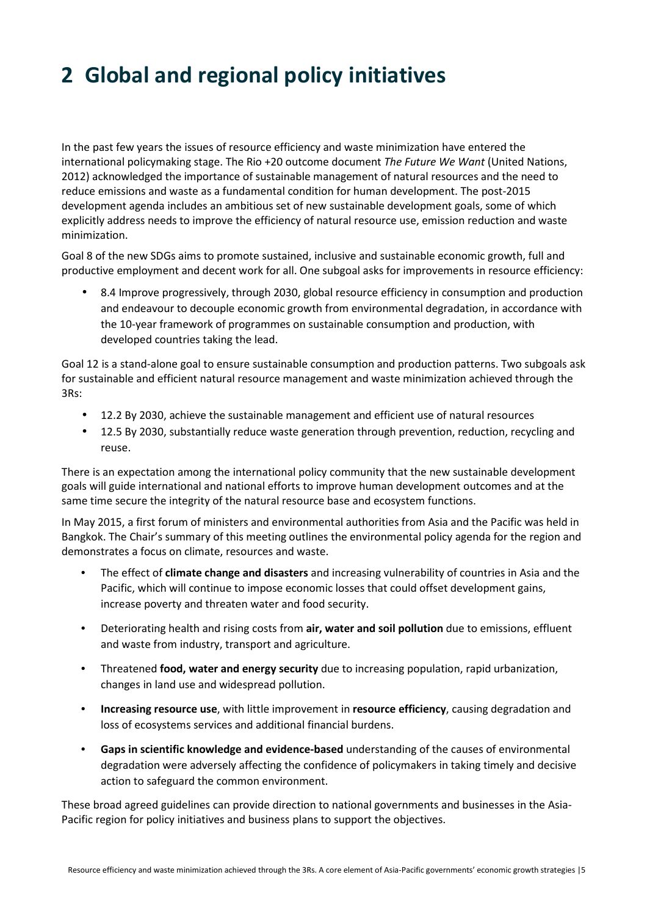# **2 Global and regional policy initiatives**

In the past few years the issues of resource efficiency and waste minimization have entered the international policymaking stage. The Rio +20 outcome document *The Future We Want* (United Nations, 2012) acknowledged the importance of sustainable management of natural resources and the need to reduce emissions and waste as a fundamental condition for human development. The post-2015 development agenda includes an ambitious set of new sustainable development goals, some of which explicitly address needs to improve the efficiency of natural resource use, emission reduction and waste minimization.

Goal 8 of the new SDGs aims to promote sustained, inclusive and sustainable economic growth, full and productive employment and decent work for all. One subgoal asks for improvements in resource efficiency:

• 8.4 Improve progressively, through 2030, global resource efficiency in consumption and production and endeavour to decouple economic growth from environmental degradation, in accordance with the 10-year framework of programmes on sustainable consumption and production, with developed countries taking the lead.

Goal 12 is a stand-alone goal to ensure sustainable consumption and production patterns. Two subgoals ask for sustainable and efficient natural resource management and waste minimization achieved through the 3Rs:

- 12.2 By 2030, achieve the sustainable management and efficient use of natural resources
- 12.5 By 2030, substantially reduce waste generation through prevention, reduction, recycling and reuse.

There is an expectation among the international policy community that the new sustainable development goals will guide international and national efforts to improve human development outcomes and at the same time secure the integrity of the natural resource base and ecosystem functions.

In May 2015, a first forum of ministers and environmental authorities from Asia and the Pacific was held in Bangkok. The Chair's summary of this meeting outlines the environmental policy agenda for the region and demonstrates a focus on climate, resources and waste.

- The effect of **climate change and disasters** and increasing vulnerability of countries in Asia and the Pacific, which will continue to impose economic losses that could offset development gains, increase poverty and threaten water and food security.
- Deteriorating health and rising costs from **air, water and soil pollution** due to emissions, effluent and waste from industry, transport and agriculture.
- Threatened **food, water and energy security** due to increasing population, rapid urbanization, changes in land use and widespread pollution.
- **Increasing resource use**, with little improvement in **resource efficiency**, causing degradation and loss of ecosystems services and additional financial burdens.
- **Gaps in scientific knowledge and evidence-based** understanding of the causes of environmental degradation were adversely affecting the confidence of policymakers in taking timely and decisive action to safeguard the common environment.

These broad agreed guidelines can provide direction to national governments and businesses in the Asia-Pacific region for policy initiatives and business plans to support the objectives.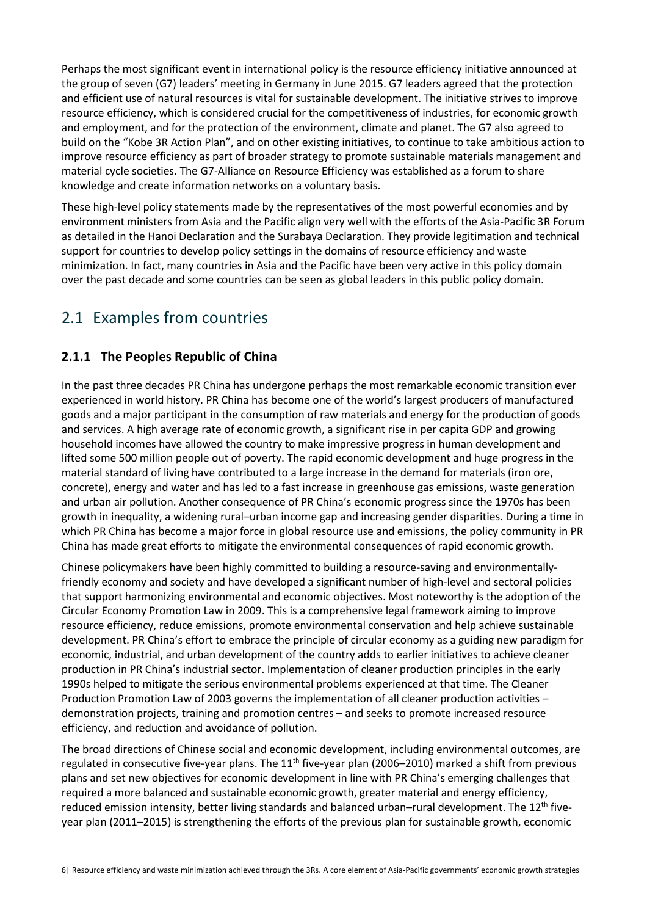Perhaps the most significant event in international policy is the resource efficiency initiative announced at the group of seven (G7) leaders' meeting in Germany in June 2015. G7 leaders agreed that the protection and efficient use of natural resources is vital for sustainable development. The initiative strives to improve resource efficiency, which is considered crucial for the competitiveness of industries, for economic growth and employment, and for the protection of the environment, climate and planet. The G7 also agreed to build on the "Kobe 3R Action Plan", and on other existing initiatives, to continue to take ambitious action to improve resource efficiency as part of broader strategy to promote sustainable materials management and material cycle societies. The G7-Alliance on Resource Efficiency was established as a forum to share knowledge and create information networks on a voluntary basis.

These high-level policy statements made by the representatives of the most powerful economies and by environment ministers from Asia and the Pacific align very well with the efforts of the Asia-Pacific 3R Forum as detailed in the Hanoi Declaration and the Surabaya Declaration. They provide legitimation and technical support for countries to develop policy settings in the domains of resource efficiency and waste minimization. In fact, many countries in Asia and the Pacific have been very active in this policy domain over the past decade and some countries can be seen as global leaders in this public policy domain.

## 2.1 Examples from countries

### **2.1.1 The Peoples Republic of China**

In the past three decades PR China has undergone perhaps the most remarkable economic transition ever experienced in world history. PR China has become one of the world's largest producers of manufactured goods and a major participant in the consumption of raw materials and energy for the production of goods and services. A high average rate of economic growth, a significant rise in per capita GDP and growing household incomes have allowed the country to make impressive progress in human development and lifted some 500 million people out of poverty. The rapid economic development and huge progress in the material standard of living have contributed to a large increase in the demand for materials (iron ore, concrete), energy and water and has led to a fast increase in greenhouse gas emissions, waste generation and urban air pollution. Another consequence of PR China's economic progress since the 1970s has been growth in inequality, a widening rural–urban income gap and increasing gender disparities. During a time in which PR China has become a major force in global resource use and emissions, the policy community in PR China has made great efforts to mitigate the environmental consequences of rapid economic growth.

Chinese policymakers have been highly committed to building a resource-saving and environmentallyfriendly economy and society and have developed a significant number of high-level and sectoral policies that support harmonizing environmental and economic objectives. Most noteworthy is the adoption of the Circular Economy Promotion Law in 2009. This is a comprehensive legal framework aiming to improve resource efficiency, reduce emissions, promote environmental conservation and help achieve sustainable development. PR China's effort to embrace the principle of circular economy as a guiding new paradigm for economic, industrial, and urban development of the country adds to earlier initiatives to achieve cleaner production in PR China's industrial sector. Implementation of cleaner production principles in the early 1990s helped to mitigate the serious environmental problems experienced at that time. The Cleaner Production Promotion Law of 2003 governs the implementation of all cleaner production activities – demonstration projects, training and promotion centres – and seeks to promote increased resource efficiency, and reduction and avoidance of pollution.

The broad directions of Chinese social and economic development, including environmental outcomes, are regulated in consecutive five-year plans. The  $11<sup>th</sup>$  five-year plan (2006–2010) marked a shift from previous plans and set new objectives for economic development in line with PR China's emerging challenges that required a more balanced and sustainable economic growth, greater material and energy efficiency, reduced emission intensity, better living standards and balanced urban-rural development. The 12<sup>th</sup> fiveyear plan (2011–2015) is strengthening the efforts of the previous plan for sustainable growth, economic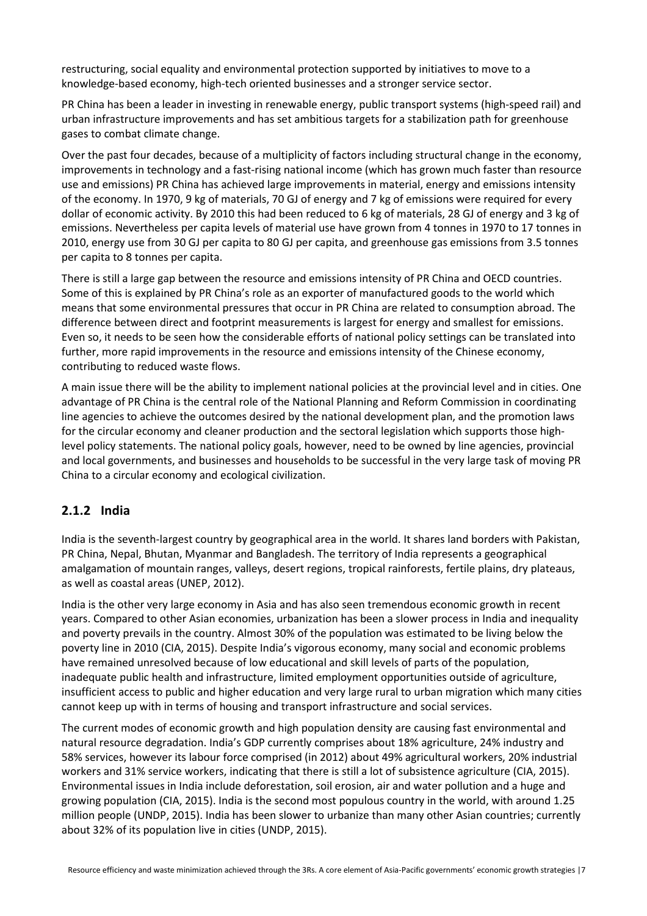restructuring, social equality and environmental protection supported by initiatives to move to a knowledge-based economy, high-tech oriented businesses and a stronger service sector.

PR China has been a leader in investing in renewable energy, public transport systems (high-speed rail) and urban infrastructure improvements and has set ambitious targets for a stabilization path for greenhouse gases to combat climate change.

Over the past four decades, because of a multiplicity of factors including structural change in the economy, improvements in technology and a fast-rising national income (which has grown much faster than resource use and emissions) PR China has achieved large improvements in material, energy and emissions intensity of the economy. In 1970, 9 kg of materials, 70 GJ of energy and 7 kg of emissions were required for every dollar of economic activity. By 2010 this had been reduced to 6 kg of materials, 28 GJ of energy and 3 kg of emissions. Nevertheless per capita levels of material use have grown from 4 tonnes in 1970 to 17 tonnes in 2010, energy use from 30 GJ per capita to 80 GJ per capita, and greenhouse gas emissions from 3.5 tonnes per capita to 8 tonnes per capita.

There is still a large gap between the resource and emissions intensity of PR China and OECD countries. Some of this is explained by PR China's role as an exporter of manufactured goods to the world which means that some environmental pressures that occur in PR China are related to consumption abroad. The difference between direct and footprint measurements is largest for energy and smallest for emissions. Even so, it needs to be seen how the considerable efforts of national policy settings can be translated into further, more rapid improvements in the resource and emissions intensity of the Chinese economy, contributing to reduced waste flows.

A main issue there will be the ability to implement national policies at the provincial level and in cities. One advantage of PR China is the central role of the National Planning and Reform Commission in coordinating line agencies to achieve the outcomes desired by the national development plan, and the promotion laws for the circular economy and cleaner production and the sectoral legislation which supports those highlevel policy statements. The national policy goals, however, need to be owned by line agencies, provincial and local governments, and businesses and households to be successful in the very large task of moving PR China to a circular economy and ecological civilization.

#### **2.1.2 India**

India is the seventh-largest country by geographical area in the world. It shares land borders with Pakistan, PR China, Nepal, Bhutan, Myanmar and Bangladesh. The territory of India represents a geographical amalgamation of mountain ranges, valleys, desert regions, tropical rainforests, fertile plains, dry plateaus, as well as coastal areas (UNEP, 2012).

India is the other very large economy in Asia and has also seen tremendous economic growth in recent years. Compared to other Asian economies, urbanization has been a slower process in India and inequality and poverty prevails in the country. Almost 30% of the population was estimated to be living below the poverty line in 2010 (CIA, 2015). Despite India's vigorous economy, many social and economic problems have remained unresolved because of low educational and skill levels of parts of the population, inadequate public health and infrastructure, limited employment opportunities outside of agriculture, insufficient access to public and higher education and very large rural to urban migration which many cities cannot keep up with in terms of housing and transport infrastructure and social services.

The current modes of economic growth and high population density are causing fast environmental and natural resource degradation. India's GDP currently comprises about 18% agriculture, 24% industry and 58% services, however its labour force comprised (in 2012) about 49% agricultural workers, 20% industrial workers and 31% service workers, indicating that there is still a lot of subsistence agriculture (CIA, 2015). Environmental issues in India include deforestation, soil erosion, air and water pollution and a huge and growing population (CIA, 2015). India is the second most populous country in the world, with around 1.25 million people (UNDP, 2015). India has been slower to urbanize than many other Asian countries; currently about 32% of its population live in cities (UNDP, 2015).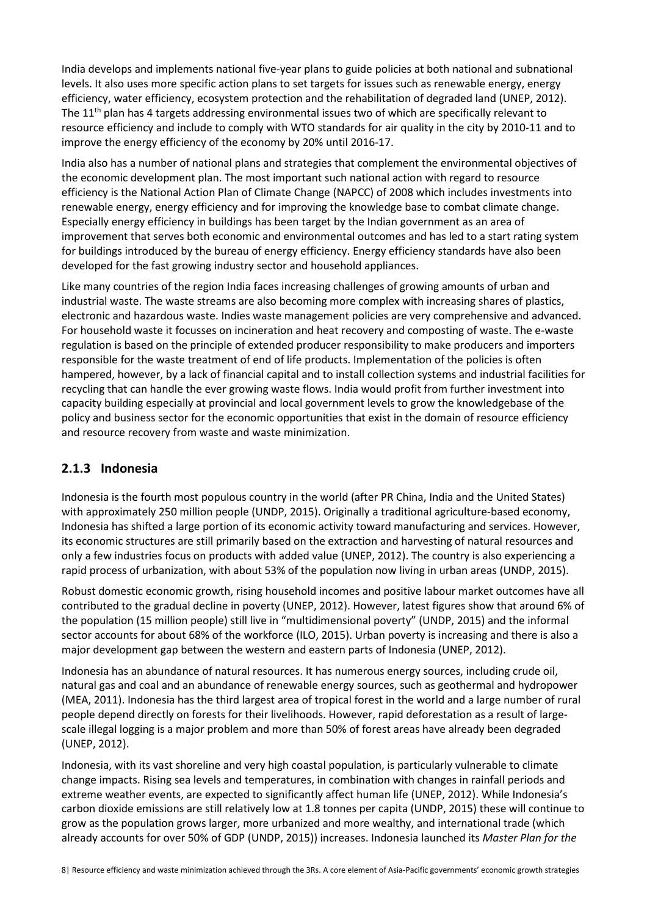India develops and implements national five-year plans to guide policies at both national and subnational levels. It also uses more specific action plans to set targets for issues such as renewable energy, energy efficiency, water efficiency, ecosystem protection and the rehabilitation of degraded land (UNEP, 2012). The 11<sup>th</sup> plan has 4 targets addressing environmental issues two of which are specifically relevant to resource efficiency and include to comply with WTO standards for air quality in the city by 2010-11 and to improve the energy efficiency of the economy by 20% until 2016-17.

India also has a number of national plans and strategies that complement the environmental objectives of the economic development plan. The most important such national action with regard to resource efficiency is the National Action Plan of Climate Change (NAPCC) of 2008 which includes investments into renewable energy, energy efficiency and for improving the knowledge base to combat climate change. Especially energy efficiency in buildings has been target by the Indian government as an area of improvement that serves both economic and environmental outcomes and has led to a start rating system for buildings introduced by the bureau of energy efficiency. Energy efficiency standards have also been developed for the fast growing industry sector and household appliances.

Like many countries of the region India faces increasing challenges of growing amounts of urban and industrial waste. The waste streams are also becoming more complex with increasing shares of plastics, electronic and hazardous waste. Indies waste management policies are very comprehensive and advanced. For household waste it focusses on incineration and heat recovery and composting of waste. The e-waste regulation is based on the principle of extended producer responsibility to make producers and importers responsible for the waste treatment of end of life products. Implementation of the policies is often hampered, however, by a lack of financial capital and to install collection systems and industrial facilities for recycling that can handle the ever growing waste flows. India would profit from further investment into capacity building especially at provincial and local government levels to grow the knowledgebase of the policy and business sector for the economic opportunities that exist in the domain of resource efficiency and resource recovery from waste and waste minimization.

### **2.1.3 Indonesia**

Indonesia is the fourth most populous country in the world (after PR China, India and the United States) with approximately 250 million people (UNDP, 2015). Originally a traditional agriculture-based economy, Indonesia has shifted a large portion of its economic activity toward manufacturing and services. However, its economic structures are still primarily based on the extraction and harvesting of natural resources and only a few industries focus on products with added value (UNEP, 2012). The country is also experiencing a rapid process of urbanization, with about 53% of the population now living in urban areas (UNDP, 2015).

Robust domestic economic growth, rising household incomes and positive labour market outcomes have all contributed to the gradual decline in poverty (UNEP, 2012). However, latest figures show that around 6% of the population (15 million people) still live in "multidimensional poverty" (UNDP, 2015) and the informal sector accounts for about 68% of the workforce (ILO, 2015). Urban poverty is increasing and there is also a major development gap between the western and eastern parts of Indonesia (UNEP, 2012).

Indonesia has an abundance of natural resources. It has numerous energy sources, including crude oil, natural gas and coal and an abundance of renewable energy sources, such as geothermal and hydropower (MEA, 2011). Indonesia has the third largest area of tropical forest in the world and a large number of rural people depend directly on forests for their livelihoods. However, rapid deforestation as a result of largescale illegal logging is a major problem and more than 50% of forest areas have already been degraded (UNEP, 2012).

Indonesia, with its vast shoreline and very high coastal population, is particularly vulnerable to climate change impacts. Rising sea levels and temperatures, in combination with changes in rainfall periods and extreme weather events, are expected to significantly affect human life (UNEP, 2012). While Indonesia's carbon dioxide emissions are still relatively low at 1.8 tonnes per capita (UNDP, 2015) these will continue to grow as the population grows larger, more urbanized and more wealthy, and international trade (which already accounts for over 50% of GDP (UNDP, 2015)) increases. Indonesia launched its *Master Plan for the*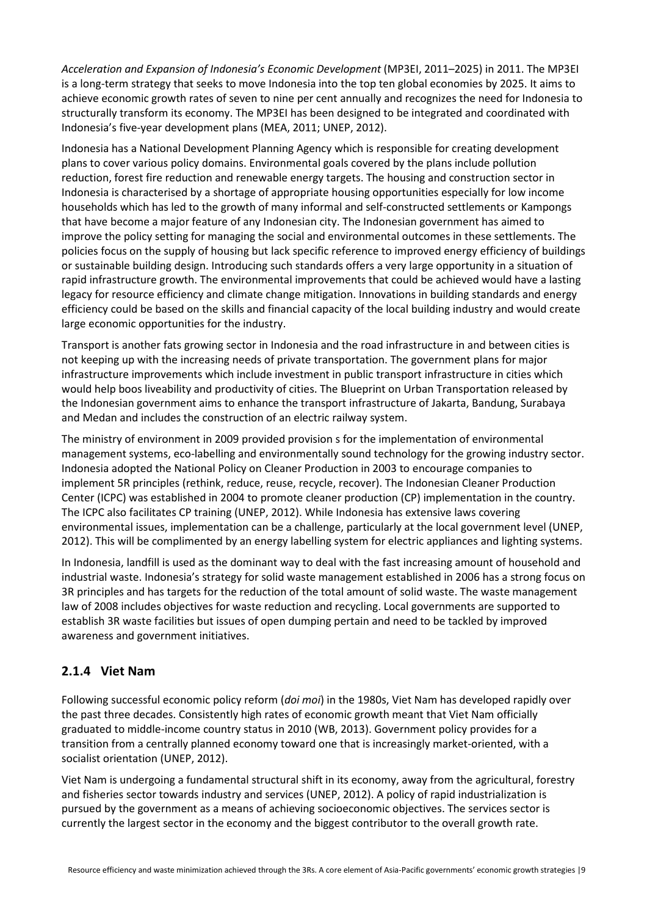*Acceleration and Expansion of Indonesia's Economic Development* (MP3EI, 2011–2025) in 2011. The MP3EI is a long-term strategy that seeks to move Indonesia into the top ten global economies by 2025. It aims to achieve economic growth rates of seven to nine per cent annually and recognizes the need for Indonesia to structurally transform its economy. The MP3EI has been designed to be integrated and coordinated with Indonesia's five-year development plans (MEA, 2011; UNEP, 2012).

Indonesia has a National Development Planning Agency which is responsible for creating development plans to cover various policy domains. Environmental goals covered by the plans include pollution reduction, forest fire reduction and renewable energy targets. The housing and construction sector in Indonesia is characterised by a shortage of appropriate housing opportunities especially for low income households which has led to the growth of many informal and self-constructed settlements or Kampongs that have become a major feature of any Indonesian city. The Indonesian government has aimed to improve the policy setting for managing the social and environmental outcomes in these settlements. The policies focus on the supply of housing but lack specific reference to improved energy efficiency of buildings or sustainable building design. Introducing such standards offers a very large opportunity in a situation of rapid infrastructure growth. The environmental improvements that could be achieved would have a lasting legacy for resource efficiency and climate change mitigation. Innovations in building standards and energy efficiency could be based on the skills and financial capacity of the local building industry and would create large economic opportunities for the industry.

Transport is another fats growing sector in Indonesia and the road infrastructure in and between cities is not keeping up with the increasing needs of private transportation. The government plans for major infrastructure improvements which include investment in public transport infrastructure in cities which would help boos liveability and productivity of cities. The Blueprint on Urban Transportation released by the Indonesian government aims to enhance the transport infrastructure of Jakarta, Bandung, Surabaya and Medan and includes the construction of an electric railway system.

The ministry of environment in 2009 provided provision s for the implementation of environmental management systems, eco-labelling and environmentally sound technology for the growing industry sector. Indonesia adopted the National Policy on Cleaner Production in 2003 to encourage companies to implement 5R principles (rethink, reduce, reuse, recycle, recover). The Indonesian Cleaner Production Center (ICPC) was established in 2004 to promote cleaner production (CP) implementation in the country. The ICPC also facilitates CP training (UNEP, 2012). While Indonesia has extensive laws covering environmental issues, implementation can be a challenge, particularly at the local government level (UNEP, 2012). This will be complimented by an energy labelling system for electric appliances and lighting systems.

In Indonesia, landfill is used as the dominant way to deal with the fast increasing amount of household and industrial waste. Indonesia's strategy for solid waste management established in 2006 has a strong focus on 3R principles and has targets for the reduction of the total amount of solid waste. The waste management law of 2008 includes objectives for waste reduction and recycling. Local governments are supported to establish 3R waste facilities but issues of open dumping pertain and need to be tackled by improved awareness and government initiatives.

### **2.1.4 Viet Nam**

Following successful economic policy reform (*doi moi*) in the 1980s, Viet Nam has developed rapidly over the past three decades. Consistently high rates of economic growth meant that Viet Nam officially graduated to middle-income country status in 2010 (WB, 2013). Government policy provides for a transition from a centrally planned economy toward one that is increasingly market-oriented, with a socialist orientation (UNEP, 2012).

Viet Nam is undergoing a fundamental structural shift in its economy, away from the agricultural, forestry and fisheries sector towards industry and services (UNEP, 2012). A policy of rapid industrialization is pursued by the government as a means of achieving socioeconomic objectives. The services sector is currently the largest sector in the economy and the biggest contributor to the overall growth rate.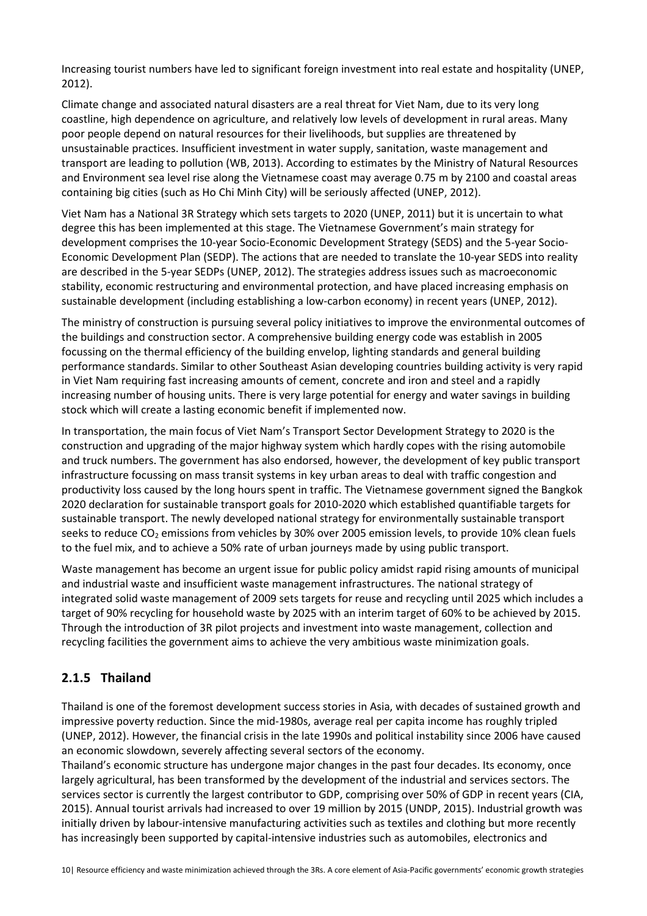Increasing tourist numbers have led to significant foreign investment into real estate and hospitality (UNEP, 2012).

Climate change and associated natural disasters are a real threat for Viet Nam, due to its very long coastline, high dependence on agriculture, and relatively low levels of development in rural areas. Many poor people depend on natural resources for their livelihoods, but supplies are threatened by unsustainable practices. Insufficient investment in water supply, sanitation, waste management and transport are leading to pollution (WB, 2013). According to estimates by the Ministry of Natural Resources and Environment sea level rise along the Vietnamese coast may average 0.75 m by 2100 and coastal areas containing big cities (such as Ho Chi Minh City) will be seriously affected (UNEP, 2012).

Viet Nam has a National 3R Strategy which sets targets to 2020 (UNEP, 2011) but it is uncertain to what degree this has been implemented at this stage. The Vietnamese Government's main strategy for development comprises the 10-year Socio-Economic Development Strategy (SEDS) and the 5-year Socio-Economic Development Plan (SEDP). The actions that are needed to translate the 10-year SEDS into reality are described in the 5-year SEDPs (UNEP, 2012). The strategies address issues such as macroeconomic stability, economic restructuring and environmental protection, and have placed increasing emphasis on sustainable development (including establishing a low-carbon economy) in recent years (UNEP, 2012).

The ministry of construction is pursuing several policy initiatives to improve the environmental outcomes of the buildings and construction sector. A comprehensive building energy code was establish in 2005 focussing on the thermal efficiency of the building envelop, lighting standards and general building performance standards. Similar to other Southeast Asian developing countries building activity is very rapid in Viet Nam requiring fast increasing amounts of cement, concrete and iron and steel and a rapidly increasing number of housing units. There is very large potential for energy and water savings in building stock which will create a lasting economic benefit if implemented now.

In transportation, the main focus of Viet Nam's Transport Sector Development Strategy to 2020 is the construction and upgrading of the major highway system which hardly copes with the rising automobile and truck numbers. The government has also endorsed, however, the development of key public transport infrastructure focussing on mass transit systems in key urban areas to deal with traffic congestion and productivity loss caused by the long hours spent in traffic. The Vietnamese government signed the Bangkok 2020 declaration for sustainable transport goals for 2010-2020 which established quantifiable targets for sustainable transport. The newly developed national strategy for environmentally sustainable transport seeks to reduce CO<sub>2</sub> emissions from vehicles by 30% over 2005 emission levels, to provide 10% clean fuels to the fuel mix, and to achieve a 50% rate of urban journeys made by using public transport.

Waste management has become an urgent issue for public policy amidst rapid rising amounts of municipal and industrial waste and insufficient waste management infrastructures. The national strategy of integrated solid waste management of 2009 sets targets for reuse and recycling until 2025 which includes a target of 90% recycling for household waste by 2025 with an interim target of 60% to be achieved by 2015. Through the introduction of 3R pilot projects and investment into waste management, collection and recycling facilities the government aims to achieve the very ambitious waste minimization goals.

### **2.1.5 Thailand**

Thailand is one of the foremost development success stories in Asia, with decades of sustained growth and impressive poverty reduction. Since the mid-1980s, average real per capita income has roughly tripled (UNEP, 2012). However, the financial crisis in the late 1990s and political instability since 2006 have caused an economic slowdown, severely affecting several sectors of the economy.

Thailand's economic structure has undergone major changes in the past four decades. Its economy, once largely agricultural, has been transformed by the development of the industrial and services sectors. The services sector is currently the largest contributor to GDP, comprising over 50% of GDP in recent years (CIA, 2015). Annual tourist arrivals had increased to over 19 million by 2015 (UNDP, 2015). Industrial growth was initially driven by labour-intensive manufacturing activities such as textiles and clothing but more recently has increasingly been supported by capital-intensive industries such as automobiles, electronics and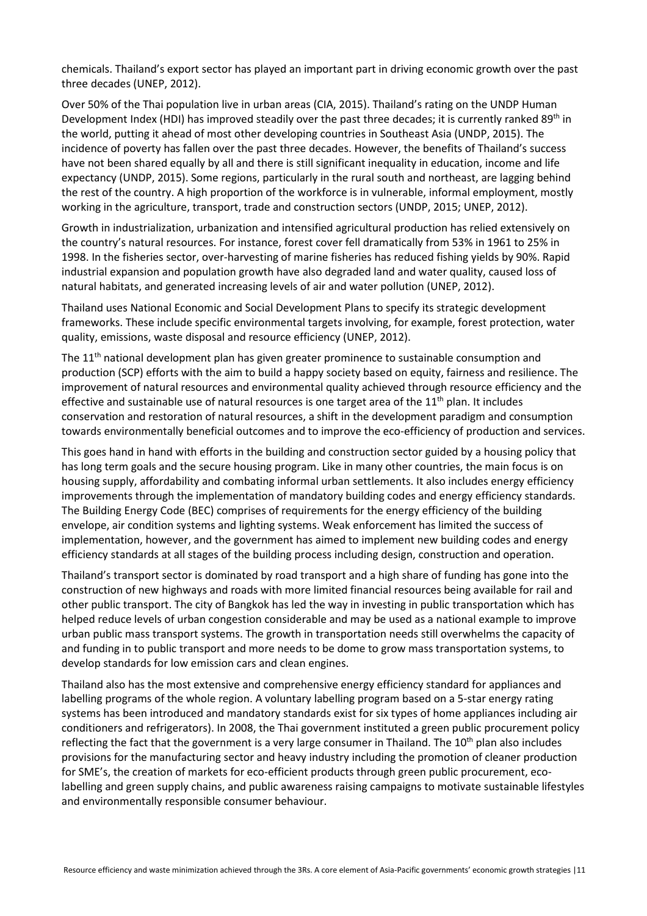chemicals. Thailand's export sector has played an important part in driving economic growth over the past three decades (UNEP, 2012).

Over 50% of the Thai population live in urban areas (CIA, 2015). Thailand's rating on the UNDP Human Development Index (HDI) has improved steadily over the past three decades; it is currently ranked 89<sup>th</sup> in the world, putting it ahead of most other developing countries in Southeast Asia (UNDP, 2015). The incidence of poverty has fallen over the past three decades. However, the benefits of Thailand's success have not been shared equally by all and there is still significant inequality in education, income and life expectancy (UNDP, 2015). Some regions, particularly in the rural south and northeast, are lagging behind the rest of the country. A high proportion of the workforce is in vulnerable, informal employment, mostly working in the agriculture, transport, trade and construction sectors (UNDP, 2015; UNEP, 2012).

Growth in industrialization, urbanization and intensified agricultural production has relied extensively on the country's natural resources. For instance, forest cover fell dramatically from 53% in 1961 to 25% in 1998. In the fisheries sector, over-harvesting of marine fisheries has reduced fishing yields by 90%. Rapid industrial expansion and population growth have also degraded land and water quality, caused loss of natural habitats, and generated increasing levels of air and water pollution (UNEP, 2012).

Thailand uses National Economic and Social Development Plans to specify its strategic development frameworks. These include specific environmental targets involving, for example, forest protection, water quality, emissions, waste disposal and resource efficiency (UNEP, 2012).

The 11<sup>th</sup> national development plan has given greater prominence to sustainable consumption and production (SCP) efforts with the aim to build a happy society based on equity, fairness and resilience. The improvement of natural resources and environmental quality achieved through resource efficiency and the effective and sustainable use of natural resources is one target area of the  $11<sup>th</sup>$  plan. It includes conservation and restoration of natural resources, a shift in the development paradigm and consumption towards environmentally beneficial outcomes and to improve the eco-efficiency of production and services.

This goes hand in hand with efforts in the building and construction sector guided by a housing policy that has long term goals and the secure housing program. Like in many other countries, the main focus is on housing supply, affordability and combating informal urban settlements. It also includes energy efficiency improvements through the implementation of mandatory building codes and energy efficiency standards. The Building Energy Code (BEC) comprises of requirements for the energy efficiency of the building envelope, air condition systems and lighting systems. Weak enforcement has limited the success of implementation, however, and the government has aimed to implement new building codes and energy efficiency standards at all stages of the building process including design, construction and operation.

Thailand's transport sector is dominated by road transport and a high share of funding has gone into the construction of new highways and roads with more limited financial resources being available for rail and other public transport. The city of Bangkok has led the way in investing in public transportation which has helped reduce levels of urban congestion considerable and may be used as a national example to improve urban public mass transport systems. The growth in transportation needs still overwhelms the capacity of and funding in to public transport and more needs to be dome to grow mass transportation systems, to develop standards for low emission cars and clean engines.

Thailand also has the most extensive and comprehensive energy efficiency standard for appliances and labelling programs of the whole region. A voluntary labelling program based on a 5-star energy rating systems has been introduced and mandatory standards exist for six types of home appliances including air conditioners and refrigerators). In 2008, the Thai government instituted a green public procurement policy reflecting the fact that the government is a very large consumer in Thailand. The 10<sup>th</sup> plan also includes provisions for the manufacturing sector and heavy industry including the promotion of cleaner production for SME's, the creation of markets for eco-efficient products through green public procurement, ecolabelling and green supply chains, and public awareness raising campaigns to motivate sustainable lifestyles and environmentally responsible consumer behaviour.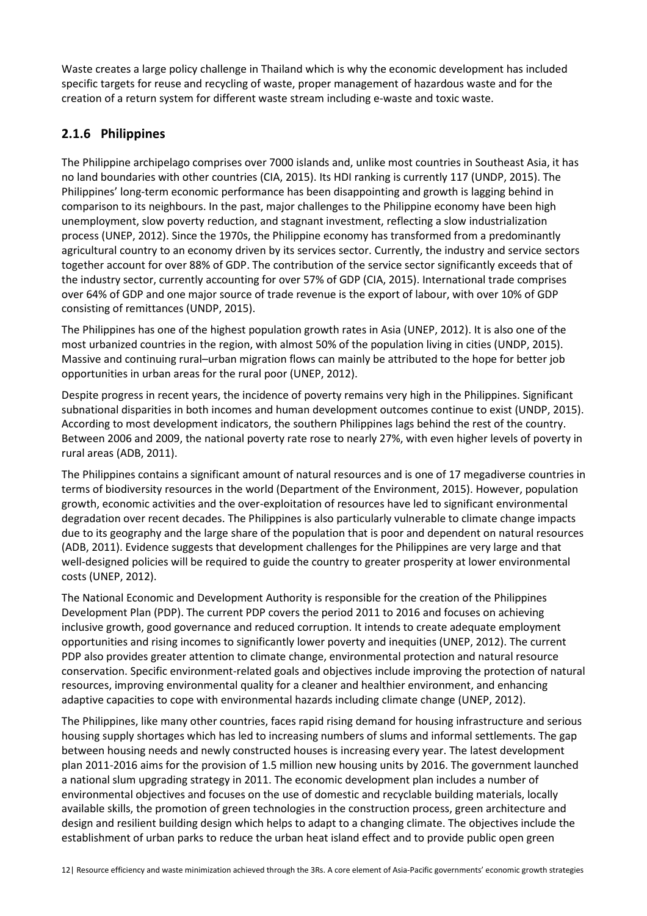Waste creates a large policy challenge in Thailand which is why the economic development has included specific targets for reuse and recycling of waste, proper management of hazardous waste and for the creation of a return system for different waste stream including e-waste and toxic waste.

### **2.1.6 Philippines**

The Philippine archipelago comprises over 7000 islands and, unlike most countries in Southeast Asia, it has no land boundaries with other countries (CIA, 2015). Its HDI ranking is currently 117 (UNDP, 2015). The Philippines' long-term economic performance has been disappointing and growth is lagging behind in comparison to its neighbours. In the past, major challenges to the Philippine economy have been high unemployment, slow poverty reduction, and stagnant investment, reflecting a slow industrialization process (UNEP, 2012). Since the 1970s, the Philippine economy has transformed from a predominantly agricultural country to an economy driven by its services sector. Currently, the industry and service sectors together account for over 88% of GDP. The contribution of the service sector significantly exceeds that of the industry sector, currently accounting for over 57% of GDP (CIA, 2015). International trade comprises over 64% of GDP and one major source of trade revenue is the export of labour, with over 10% of GDP consisting of remittances (UNDP, 2015).

The Philippines has one of the highest population growth rates in Asia (UNEP, 2012). It is also one of the most urbanized countries in the region, with almost 50% of the population living in cities (UNDP, 2015). Massive and continuing rural–urban migration flows can mainly be attributed to the hope for better job opportunities in urban areas for the rural poor (UNEP, 2012).

Despite progress in recent years, the incidence of poverty remains very high in the Philippines. Significant subnational disparities in both incomes and human development outcomes continue to exist (UNDP, 2015). According to most development indicators, the southern Philippines lags behind the rest of the country. Between 2006 and 2009, the national poverty rate rose to nearly 27%, with even higher levels of poverty in rural areas (ADB, 2011).

The Philippines contains a significant amount of natural resources and is one of 17 megadiverse countries in terms of biodiversity resources in the world (Department of the Environment, 2015). However, population growth, economic activities and the over-exploitation of resources have led to significant environmental degradation over recent decades. The Philippines is also particularly vulnerable to climate change impacts due to its geography and the large share of the population that is poor and dependent on natural resources (ADB, 2011). Evidence suggests that development challenges for the Philippines are very large and that well-designed policies will be required to guide the country to greater prosperity at lower environmental costs (UNEP, 2012).

The National Economic and Development Authority is responsible for the creation of the Philippines Development Plan (PDP). The current PDP covers the period 2011 to 2016 and focuses on achieving inclusive growth, good governance and reduced corruption. It intends to create adequate employment opportunities and rising incomes to significantly lower poverty and inequities (UNEP, 2012). The current PDP also provides greater attention to climate change, environmental protection and natural resource conservation. Specific environment-related goals and objectives include improving the protection of natural resources, improving environmental quality for a cleaner and healthier environment, and enhancing adaptive capacities to cope with environmental hazards including climate change (UNEP, 2012).

The Philippines, like many other countries, faces rapid rising demand for housing infrastructure and serious housing supply shortages which has led to increasing numbers of slums and informal settlements. The gap between housing needs and newly constructed houses is increasing every year. The latest development plan 2011-2016 aims for the provision of 1.5 million new housing units by 2016. The government launched a national slum upgrading strategy in 2011. The economic development plan includes a number of environmental objectives and focuses on the use of domestic and recyclable building materials, locally available skills, the promotion of green technologies in the construction process, green architecture and design and resilient building design which helps to adapt to a changing climate. The objectives include the establishment of urban parks to reduce the urban heat island effect and to provide public open green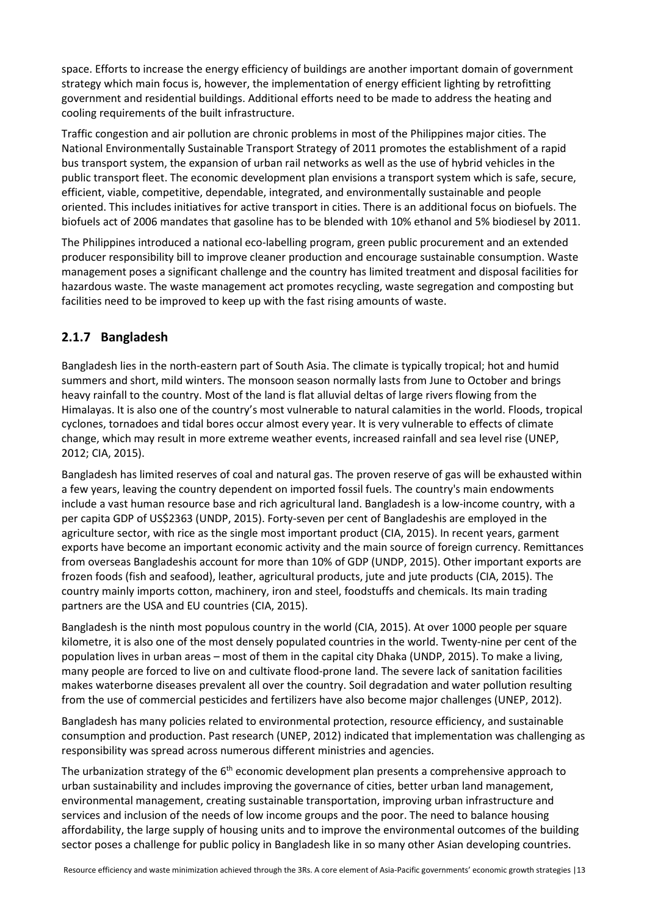space. Efforts to increase the energy efficiency of buildings are another important domain of government strategy which main focus is, however, the implementation of energy efficient lighting by retrofitting government and residential buildings. Additional efforts need to be made to address the heating and cooling requirements of the built infrastructure.

Traffic congestion and air pollution are chronic problems in most of the Philippines major cities. The National Environmentally Sustainable Transport Strategy of 2011 promotes the establishment of a rapid bus transport system, the expansion of urban rail networks as well as the use of hybrid vehicles in the public transport fleet. The economic development plan envisions a transport system which is safe, secure, efficient, viable, competitive, dependable, integrated, and environmentally sustainable and people oriented. This includes initiatives for active transport in cities. There is an additional focus on biofuels. The biofuels act of 2006 mandates that gasoline has to be blended with 10% ethanol and 5% biodiesel by 2011.

The Philippines introduced a national eco-labelling program, green public procurement and an extended producer responsibility bill to improve cleaner production and encourage sustainable consumption. Waste management poses a significant challenge and the country has limited treatment and disposal facilities for hazardous waste. The waste management act promotes recycling, waste segregation and composting but facilities need to be improved to keep up with the fast rising amounts of waste.

### **2.1.7 Bangladesh**

Bangladesh lies in the north-eastern part of South Asia. The climate is typically tropical; hot and humid summers and short, mild winters. The monsoon season normally lasts from June to October and brings heavy rainfall to the country. Most of the land is flat alluvial deltas of large rivers flowing from the Himalayas. It is also one of the country's most vulnerable to natural calamities in the world. Floods, tropical cyclones, tornadoes and tidal bores occur almost every year. It is very vulnerable to effects of climate change, which may result in more extreme weather events, increased rainfall and sea level rise (UNEP, 2012; CIA, 2015).

Bangladesh has limited reserves of coal and natural gas. The proven reserve of gas will be exhausted within a few years, leaving the country dependent on imported fossil fuels. The country's main endowments include a vast human resource base and rich agricultural land. Bangladesh is a low-income country, with a per capita GDP of US\$2363 (UNDP, 2015). Forty-seven per cent of Bangladeshis are employed in the agriculture sector, with rice as the single most important product (CIA, 2015). In recent years, garment exports have become an important economic activity and the main source of foreign currency. Remittances from overseas Bangladeshis account for more than 10% of GDP (UNDP, 2015). Other important exports are frozen foods (fish and seafood), leather, agricultural products, jute and jute products (CIA, 2015). The country mainly imports cotton, machinery, iron and steel, foodstuffs and chemicals. Its main trading partners are the USA and EU countries (CIA, 2015).

Bangladesh is the ninth most populous country in the world (CIA, 2015). At over 1000 people per square kilometre, it is also one of the most densely populated countries in the world. Twenty-nine per cent of the population lives in urban areas – most of them in the capital city Dhaka (UNDP, 2015). To make a living, many people are forced to live on and cultivate flood-prone land. The severe lack of sanitation facilities makes waterborne diseases prevalent all over the country. Soil degradation and water pollution resulting from the use of commercial pesticides and fertilizers have also become major challenges (UNEP, 2012).

Bangladesh has many policies related to environmental protection, resource efficiency, and sustainable consumption and production. Past research (UNEP, 2012) indicated that implementation was challenging as responsibility was spread across numerous different ministries and agencies.

The urbanization strategy of the  $6<sup>th</sup>$  economic development plan presents a comprehensive approach to urban sustainability and includes improving the governance of cities, better urban land management, environmental management, creating sustainable transportation, improving urban infrastructure and services and inclusion of the needs of low income groups and the poor. The need to balance housing affordability, the large supply of housing units and to improve the environmental outcomes of the building sector poses a challenge for public policy in Bangladesh like in so many other Asian developing countries.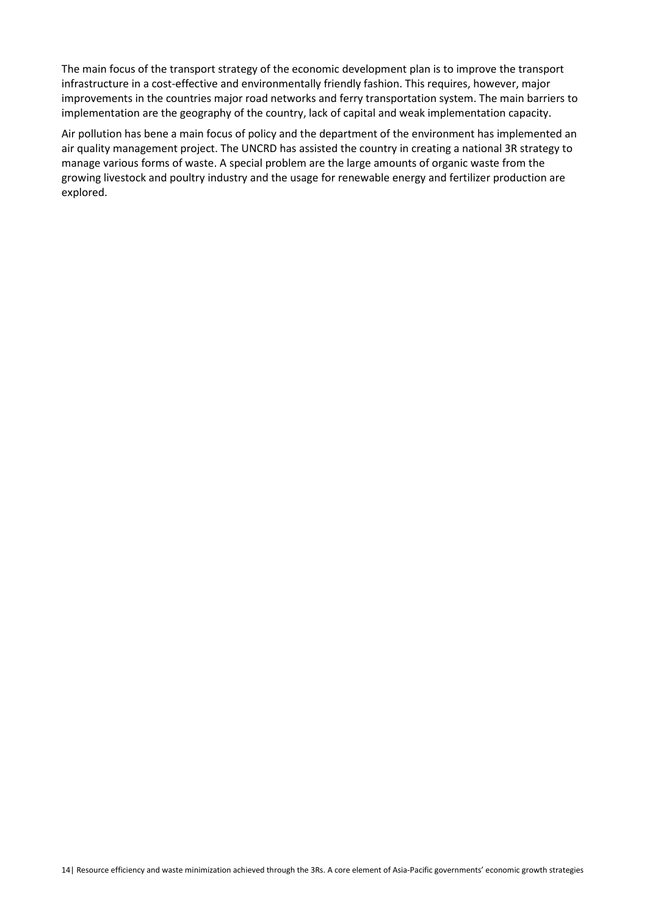The main focus of the transport strategy of the economic development plan is to improve the transport infrastructure in a cost-effective and environmentally friendly fashion. This requires, however, major improvements in the countries major road networks and ferry transportation system. The main barriers to implementation are the geography of the country, lack of capital and weak implementation capacity.

Air pollution has bene a main focus of policy and the department of the environment has implemented an air quality management project. The UNCRD has assisted the country in creating a national 3R strategy to manage various forms of waste. A special problem are the large amounts of organic waste from the growing livestock and poultry industry and the usage for renewable energy and fertilizer production are explored.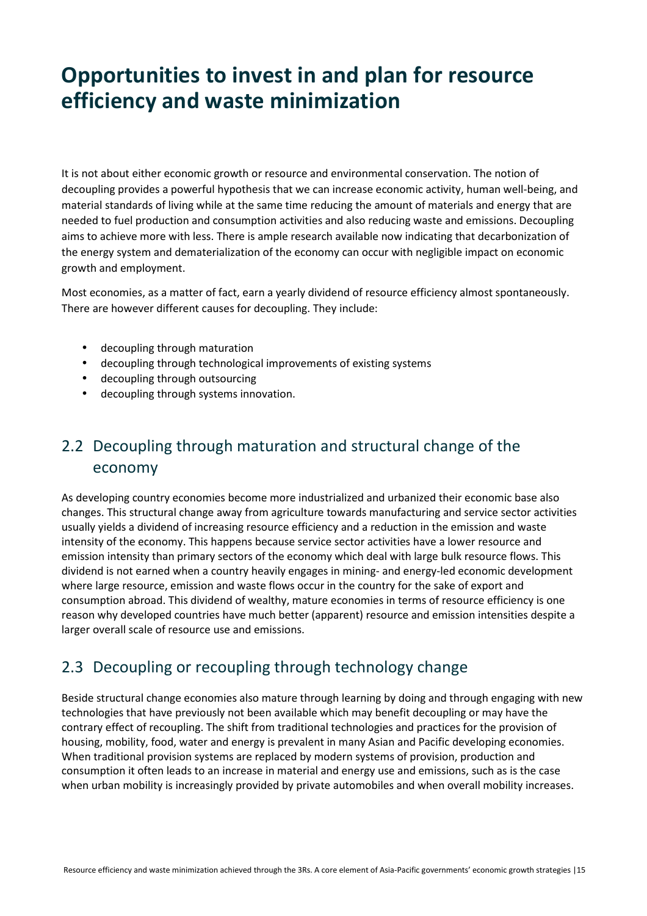# **Opportunities to invest in and plan for resource efficiency and waste minimization**

It is not about either economic growth or resource and environmental conservation. The notion of decoupling provides a powerful hypothesis that we can increase economic activity, human well-being, and material standards of living while at the same time reducing the amount of materials and energy that are needed to fuel production and consumption activities and also reducing waste and emissions. Decoupling aims to achieve more with less. There is ample research available now indicating that decarbonization of the energy system and dematerialization of the economy can occur with negligible impact on economic growth and employment.

Most economies, as a matter of fact, earn a yearly dividend of resource efficiency almost spontaneously. There are however different causes for decoupling. They include:

- decoupling through maturation
- decoupling through technological improvements of existing systems
- decoupling through outsourcing
- decoupling through systems innovation.

## 2.2 Decoupling through maturation and structural change of the economy

As developing country economies become more industrialized and urbanized their economic base also changes. This structural change away from agriculture towards manufacturing and service sector activities usually yields a dividend of increasing resource efficiency and a reduction in the emission and waste intensity of the economy. This happens because service sector activities have a lower resource and emission intensity than primary sectors of the economy which deal with large bulk resource flows. This dividend is not earned when a country heavily engages in mining- and energy-led economic development where large resource, emission and waste flows occur in the country for the sake of export and consumption abroad. This dividend of wealthy, mature economies in terms of resource efficiency is one reason why developed countries have much better (apparent) resource and emission intensities despite a larger overall scale of resource use and emissions.

### 2.3 Decoupling or recoupling through technology change

Beside structural change economies also mature through learning by doing and through engaging with new technologies that have previously not been available which may benefit decoupling or may have the contrary effect of recoupling. The shift from traditional technologies and practices for the provision of housing, mobility, food, water and energy is prevalent in many Asian and Pacific developing economies. When traditional provision systems are replaced by modern systems of provision, production and consumption it often leads to an increase in material and energy use and emissions, such as is the case when urban mobility is increasingly provided by private automobiles and when overall mobility increases.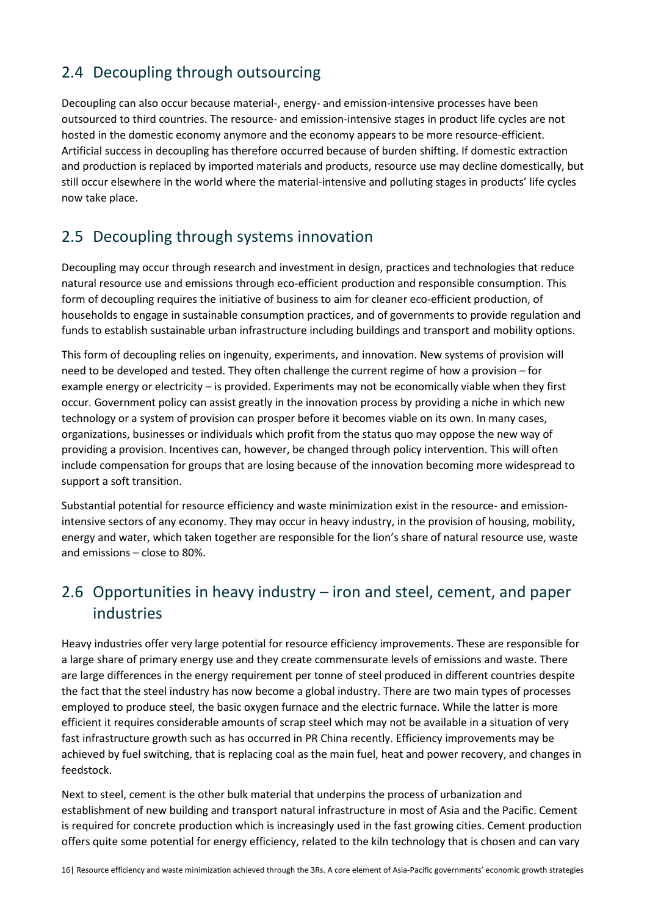## 2.4 Decoupling through outsourcing

Decoupling can also occur because material-, energy- and emission-intensive processes have been outsourced to third countries. The resource- and emission-intensive stages in product life cycles are not hosted in the domestic economy anymore and the economy appears to be more resource-efficient. Artificial success in decoupling has therefore occurred because of burden shifting. If domestic extraction and production is replaced by imported materials and products, resource use may decline domestically, but still occur elsewhere in the world where the material-intensive and polluting stages in products' life cycles now take place.

## 2.5 Decoupling through systems innovation

Decoupling may occur through research and investment in design, practices and technologies that reduce natural resource use and emissions through eco-efficient production and responsible consumption. This form of decoupling requires the initiative of business to aim for cleaner eco-efficient production, of households to engage in sustainable consumption practices, and of governments to provide regulation and funds to establish sustainable urban infrastructure including buildings and transport and mobility options.

This form of decoupling relies on ingenuity, experiments, and innovation. New systems of provision will need to be developed and tested. They often challenge the current regime of how a provision – for example energy or electricity – is provided. Experiments may not be economically viable when they first occur. Government policy can assist greatly in the innovation process by providing a niche in which new technology or a system of provision can prosper before it becomes viable on its own. In many cases, organizations, businesses or individuals which profit from the status quo may oppose the new way of providing a provision. Incentives can, however, be changed through policy intervention. This will often include compensation for groups that are losing because of the innovation becoming more widespread to support a soft transition.

Substantial potential for resource efficiency and waste minimization exist in the resource- and emissionintensive sectors of any economy. They may occur in heavy industry, in the provision of housing, mobility, energy and water, which taken together are responsible for the lion's share of natural resource use, waste and emissions – close to 80%.

## 2.6 Opportunities in heavy industry – iron and steel, cement, and paper industries

Heavy industries offer very large potential for resource efficiency improvements. These are responsible for a large share of primary energy use and they create commensurate levels of emissions and waste. There are large differences in the energy requirement per tonne of steel produced in different countries despite the fact that the steel industry has now become a global industry. There are two main types of processes employed to produce steel, the basic oxygen furnace and the electric furnace. While the latter is more efficient it requires considerable amounts of scrap steel which may not be available in a situation of very fast infrastructure growth such as has occurred in PR China recently. Efficiency improvements may be achieved by fuel switching, that is replacing coal as the main fuel, heat and power recovery, and changes in feedstock.

Next to steel, cement is the other bulk material that underpins the process of urbanization and establishment of new building and transport natural infrastructure in most of Asia and the Pacific. Cement is required for concrete production which is increasingly used in the fast growing cities. Cement production offers quite some potential for energy efficiency, related to the kiln technology that is chosen and can vary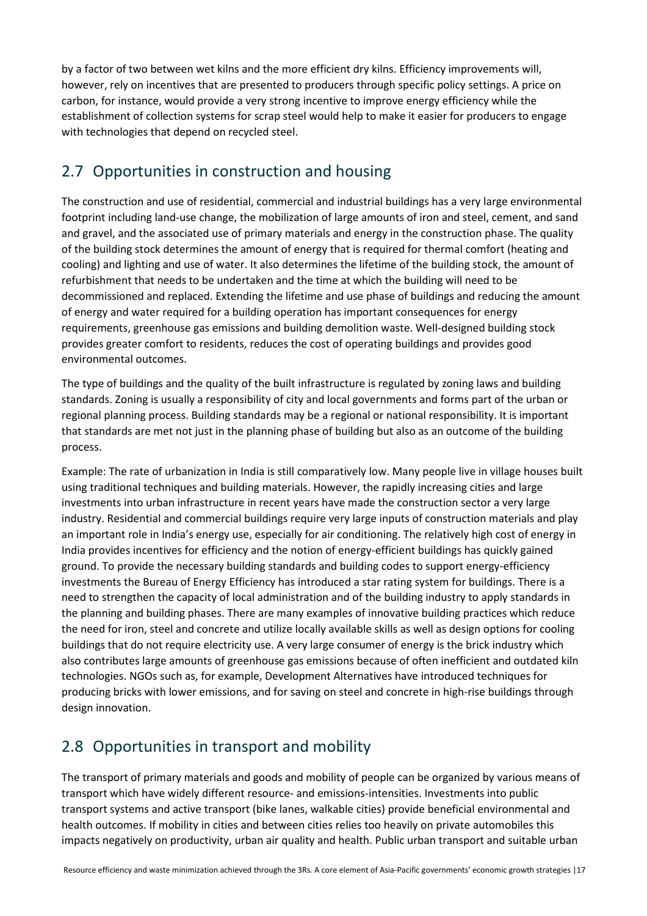by a factor of two between wet kilns and the more efficient dry kilns. Efficiency improvements will, however, rely on incentives that are presented to producers through specific policy settings. A price on carbon, for instance, would provide a very strong incentive to improve energy efficiency while the establishment of collection systems for scrap steel would help to make it easier for producers to engage with technologies that depend on recycled steel.

## 2.7 Opportunities in construction and housing

The construction and use of residential, commercial and industrial buildings has a very large environmental footprint including land-use change, the mobilization of large amounts of iron and steel, cement, and sand and gravel, and the associated use of primary materials and energy in the construction phase. The quality of the building stock determines the amount of energy that is required for thermal comfort (heating and cooling) and lighting and use of water. It also determines the lifetime of the building stock, the amount of refurbishment that needs to be undertaken and the time at which the building will need to be decommissioned and replaced. Extending the lifetime and use phase of buildings and reducing the amount of energy and water required for a building operation has important consequences for energy requirements, greenhouse gas emissions and building demolition waste. Well-designed building stock provides greater comfort to residents, reduces the cost of operating buildings and provides good environmental outcomes.

The type of buildings and the quality of the built infrastructure is regulated by zoning laws and building standards. Zoning is usually a responsibility of city and local governments and forms part of the urban or regional planning process. Building standards may be a regional or national responsibility. It is important that standards are met not just in the planning phase of building but also as an outcome of the building process.

Example: The rate of urbanization in India is still comparatively low. Many people live in village houses built using traditional techniques and building materials. However, the rapidly increasing cities and large investments into urban infrastructure in recent years have made the construction sector a very large industry. Residential and commercial buildings require very large inputs of construction materials and play an important role in India's energy use, especially for air conditioning. The relatively high cost of energy in India provides incentives for efficiency and the notion of energy-efficient buildings has quickly gained ground. To provide the necessary building standards and building codes to support energy-efficiency investments the Bureau of Energy Efficiency has introduced a star rating system for buildings. There is a need to strengthen the capacity of local administration and of the building industry to apply standards in the planning and building phases. There are many examples of innovative building practices which reduce the need for iron, steel and concrete and utilize locally available skills as well as design options for cooling buildings that do not require electricity use. A very large consumer of energy is the brick industry which also contributes large amounts of greenhouse gas emissions because of often inefficient and outdated kiln technologies. NGOs such as, for example, Development Alternatives have introduced techniques for producing bricks with lower emissions, and for saving on steel and concrete in high-rise buildings through design innovation.

## 2.8 Opportunities in transport and mobility

The transport of primary materials and goods and mobility of people can be organized by various means of transport which have widely different resource- and emissions-intensities. Investments into public transport systems and active transport (bike lanes, walkable cities) provide beneficial environmental and health outcomes. If mobility in cities and between cities relies too heavily on private automobiles this impacts negatively on productivity, urban air quality and health. Public urban transport and suitable urban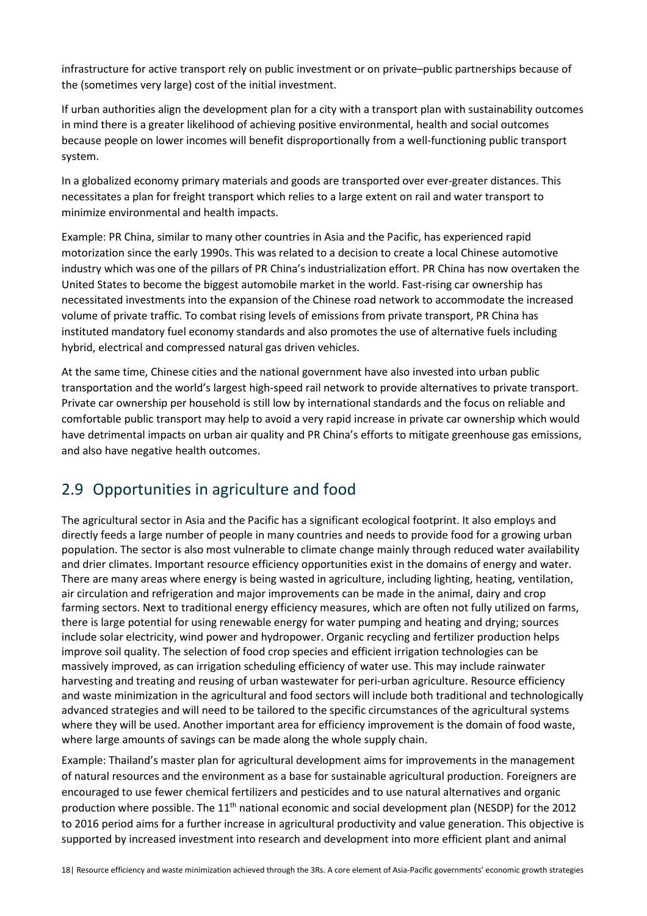infrastructure for active transport rely on public investment or on private–public partnerships because of the (sometimes very large) cost of the initial investment.

If urban authorities align the development plan for a city with a transport plan with sustainability outcomes in mind there is a greater likelihood of achieving positive environmental, health and social outcomes because people on lower incomes will benefit disproportionally from a well-functioning public transport system.

In a globalized economy primary materials and goods are transported over ever-greater distances. This necessitates a plan for freight transport which relies to a large extent on rail and water transport to minimize environmental and health impacts.

Example: PR China, similar to many other countries in Asia and the Pacific, has experienced rapid motorization since the early 1990s. This was related to a decision to create a local Chinese automotive industry which was one of the pillars of PR China's industrialization effort. PR China has now overtaken the United States to become the biggest automobile market in the world. Fast-rising car ownership has necessitated investments into the expansion of the Chinese road network to accommodate the increased volume of private traffic. To combat rising levels of emissions from private transport, PR China has instituted mandatory fuel economy standards and also promotes the use of alternative fuels including hybrid, electrical and compressed natural gas driven vehicles.

At the same time, Chinese cities and the national government have also invested into urban public transportation and the world's largest high-speed rail network to provide alternatives to private transport. Private car ownership per household is still low by international standards and the focus on reliable and comfortable public transport may help to avoid a very rapid increase in private car ownership which would have detrimental impacts on urban air quality and PR China's efforts to mitigate greenhouse gas emissions, and also have negative health outcomes.

## 2.9 Opportunities in agriculture and food

The agricultural sector in Asia and the Pacific has a significant ecological footprint. It also employs and directly feeds a large number of people in many countries and needs to provide food for a growing urban population. The sector is also most vulnerable to climate change mainly through reduced water availability and drier climates. Important resource efficiency opportunities exist in the domains of energy and water. There are many areas where energy is being wasted in agriculture, including lighting, heating, ventilation, air circulation and refrigeration and major improvements can be made in the animal, dairy and crop farming sectors. Next to traditional energy efficiency measures, which are often not fully utilized on farms, there is large potential for using renewable energy for water pumping and heating and drying; sources include solar electricity, wind power and hydropower. Organic recycling and fertilizer production helps improve soil quality. The selection of food crop species and efficient irrigation technologies can be massively improved, as can irrigation scheduling efficiency of water use. This may include rainwater harvesting and treating and reusing of urban wastewater for peri-urban agriculture. Resource efficiency and waste minimization in the agricultural and food sectors will include both traditional and technologically advanced strategies and will need to be tailored to the specific circumstances of the agricultural systems where they will be used. Another important area for efficiency improvement is the domain of food waste, where large amounts of savings can be made along the whole supply chain.

Example: Thailand's master plan for agricultural development aims for improvements in the management of natural resources and the environment as a base for sustainable agricultural production. Foreigners are encouraged to use fewer chemical fertilizers and pesticides and to use natural alternatives and organic production where possible. The 11<sup>th</sup> national economic and social development plan (NESDP) for the 2012 to 2016 period aims for a further increase in agricultural productivity and value generation. This objective is supported by increased investment into research and development into more efficient plant and animal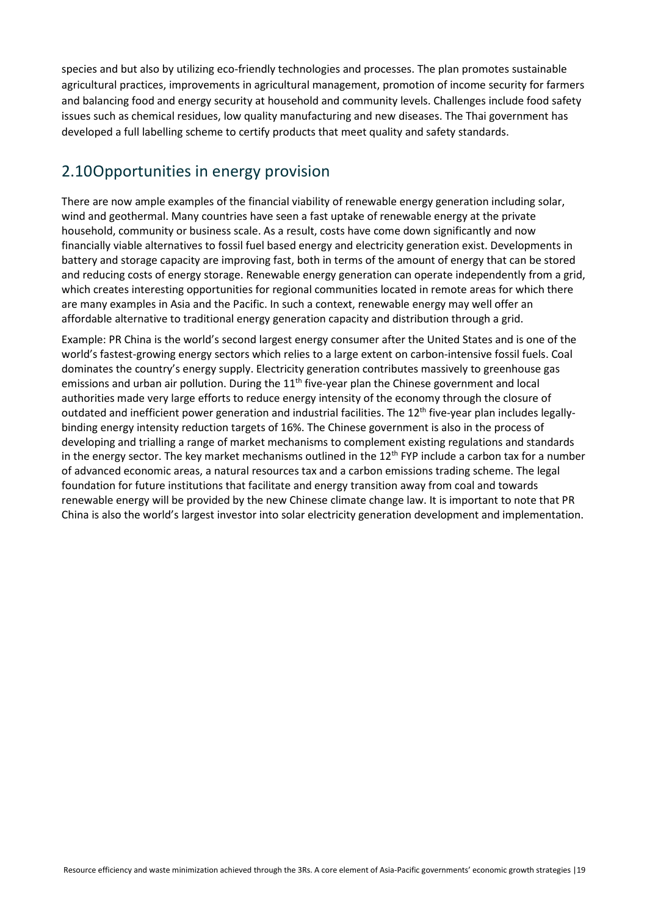species and but also by utilizing eco-friendly technologies and processes. The plan promotes sustainable agricultural practices, improvements in agricultural management, promotion of income security for farmers and balancing food and energy security at household and community levels. Challenges include food safety issues such as chemical residues, low quality manufacturing and new diseases. The Thai government has developed a full labelling scheme to certify products that meet quality and safety standards.

### 2.10Opportunities in energy provision

There are now ample examples of the financial viability of renewable energy generation including solar, wind and geothermal. Many countries have seen a fast uptake of renewable energy at the private household, community or business scale. As a result, costs have come down significantly and now financially viable alternatives to fossil fuel based energy and electricity generation exist. Developments in battery and storage capacity are improving fast, both in terms of the amount of energy that can be stored and reducing costs of energy storage. Renewable energy generation can operate independently from a grid, which creates interesting opportunities for regional communities located in remote areas for which there are many examples in Asia and the Pacific. In such a context, renewable energy may well offer an affordable alternative to traditional energy generation capacity and distribution through a grid.

Example: PR China is the world's second largest energy consumer after the United States and is one of the world's fastest-growing energy sectors which relies to a large extent on carbon-intensive fossil fuels. Coal dominates the country's energy supply. Electricity generation contributes massively to greenhouse gas emissions and urban air pollution. During the 11<sup>th</sup> five-year plan the Chinese government and local authorities made very large efforts to reduce energy intensity of the economy through the closure of outdated and inefficient power generation and industrial facilities. The 12<sup>th</sup> five-year plan includes legallybinding energy intensity reduction targets of 16%. The Chinese government is also in the process of developing and trialling a range of market mechanisms to complement existing regulations and standards in the energy sector. The key market mechanisms outlined in the  $12<sup>th</sup> FYP$  include a carbon tax for a number of advanced economic areas, a natural resources tax and a carbon emissions trading scheme. The legal foundation for future institutions that facilitate and energy transition away from coal and towards renewable energy will be provided by the new Chinese climate change law. It is important to note that PR China is also the world's largest investor into solar electricity generation development and implementation.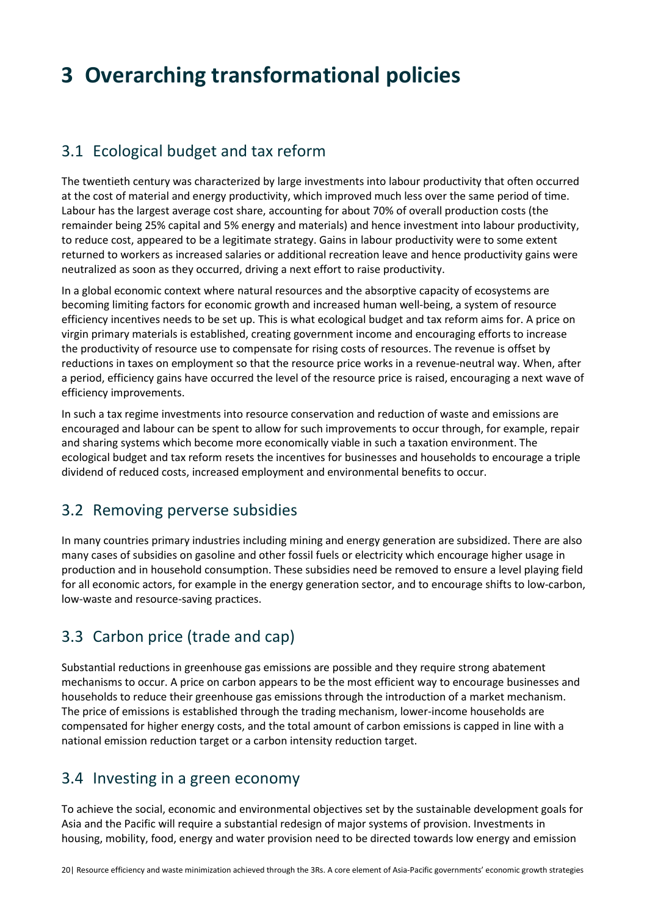# **3 Overarching transformational policies**

### 3.1 Ecological budget and tax reform

The twentieth century was characterized by large investments into labour productivity that often occurred at the cost of material and energy productivity, which improved much less over the same period of time. Labour has the largest average cost share, accounting for about 70% of overall production costs (the remainder being 25% capital and 5% energy and materials) and hence investment into labour productivity, to reduce cost, appeared to be a legitimate strategy. Gains in labour productivity were to some extent returned to workers as increased salaries or additional recreation leave and hence productivity gains were neutralized as soon as they occurred, driving a next effort to raise productivity.

In a global economic context where natural resources and the absorptive capacity of ecosystems are becoming limiting factors for economic growth and increased human well-being, a system of resource efficiency incentives needs to be set up. This is what ecological budget and tax reform aims for. A price on virgin primary materials is established, creating government income and encouraging efforts to increase the productivity of resource use to compensate for rising costs of resources. The revenue is offset by reductions in taxes on employment so that the resource price works in a revenue-neutral way. When, after a period, efficiency gains have occurred the level of the resource price is raised, encouraging a next wave of efficiency improvements.

In such a tax regime investments into resource conservation and reduction of waste and emissions are encouraged and labour can be spent to allow for such improvements to occur through, for example, repair and sharing systems which become more economically viable in such a taxation environment. The ecological budget and tax reform resets the incentives for businesses and households to encourage a triple dividend of reduced costs, increased employment and environmental benefits to occur.

### 3.2 Removing perverse subsidies

In many countries primary industries including mining and energy generation are subsidized. There are also many cases of subsidies on gasoline and other fossil fuels or electricity which encourage higher usage in production and in household consumption. These subsidies need be removed to ensure a level playing field for all economic actors, for example in the energy generation sector, and to encourage shifts to low-carbon, low-waste and resource-saving practices.

## 3.3 Carbon price (trade and cap)

Substantial reductions in greenhouse gas emissions are possible and they require strong abatement mechanisms to occur. A price on carbon appears to be the most efficient way to encourage businesses and households to reduce their greenhouse gas emissions through the introduction of a market mechanism. The price of emissions is established through the trading mechanism, lower-income households are compensated for higher energy costs, and the total amount of carbon emissions is capped in line with a national emission reduction target or a carbon intensity reduction target.

### 3.4 Investing in a green economy

To achieve the social, economic and environmental objectives set by the sustainable development goals for Asia and the Pacific will require a substantial redesign of major systems of provision. Investments in housing, mobility, food, energy and water provision need to be directed towards low energy and emission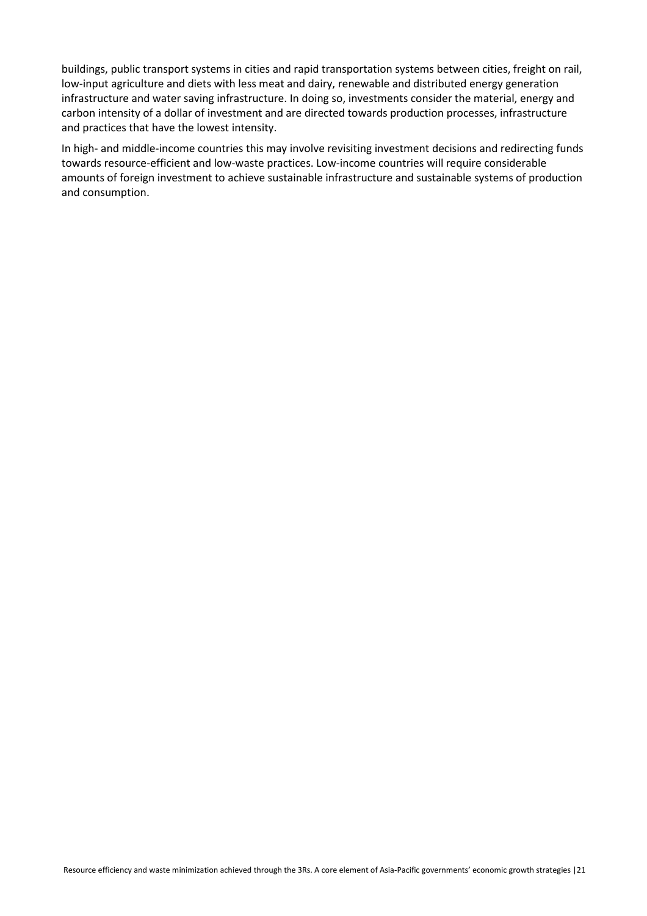buildings, public transport systems in cities and rapid transportation systems between cities, freight on rail, low-input agriculture and diets with less meat and dairy, renewable and distributed energy generation infrastructure and water saving infrastructure. In doing so, investments consider the material, energy and carbon intensity of a dollar of investment and are directed towards production processes, infrastructure and practices that have the lowest intensity.

In high- and middle-income countries this may involve revisiting investment decisions and redirecting funds towards resource-efficient and low-waste practices. Low-income countries will require considerable amounts of foreign investment to achieve sustainable infrastructure and sustainable systems of production and consumption.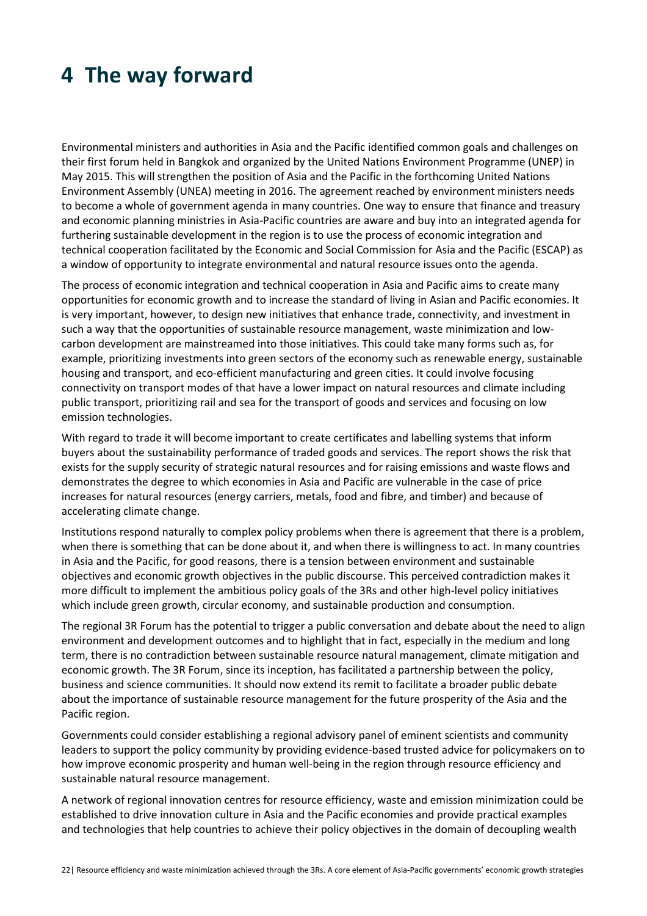## **4 The way forward**

Environmental ministers and authorities in Asia and the Pacific identified common goals and challenges on their first forum held in Bangkok and organized by the United Nations Environment Programme (UNEP) in May 2015. This will strengthen the position of Asia and the Pacific in the forthcoming United Nations Environment Assembly (UNEA) meeting in 2016. The agreement reached by environment ministers needs to become a whole of government agenda in many countries. One way to ensure that finance and treasury and economic planning ministries in Asia-Pacific countries are aware and buy into an integrated agenda for furthering sustainable development in the region is to use the process of economic integration and technical cooperation facilitated by the Economic and Social Commission for Asia and the Pacific (ESCAP) as a window of opportunity to integrate environmental and natural resource issues onto the agenda.

The process of economic integration and technical cooperation in Asia and Pacific aims to create many opportunities for economic growth and to increase the standard of living in Asian and Pacific economies. It is very important, however, to design new initiatives that enhance trade, connectivity, and investment in such a way that the opportunities of sustainable resource management, waste minimization and lowcarbon development are mainstreamed into those initiatives. This could take many forms such as, for example, prioritizing investments into green sectors of the economy such as renewable energy, sustainable housing and transport, and eco-efficient manufacturing and green cities. It could involve focusing connectivity on transport modes of that have a lower impact on natural resources and climate including public transport, prioritizing rail and sea for the transport of goods and services and focusing on low emission technologies.

With regard to trade it will become important to create certificates and labelling systems that inform buyers about the sustainability performance of traded goods and services. The report shows the risk that exists for the supply security of strategic natural resources and for raising emissions and waste flows and demonstrates the degree to which economies in Asia and Pacific are vulnerable in the case of price increases for natural resources (energy carriers, metals, food and fibre, and timber) and because of accelerating climate change.

Institutions respond naturally to complex policy problems when there is agreement that there is a problem, when there is something that can be done about it, and when there is willingness to act. In many countries in Asia and the Pacific, for good reasons, there is a tension between environment and sustainable objectives and economic growth objectives in the public discourse. This perceived contradiction makes it more difficult to implement the ambitious policy goals of the 3Rs and other high-level policy initiatives which include green growth, circular economy, and sustainable production and consumption.

The regional 3R Forum has the potential to trigger a public conversation and debate about the need to align environment and development outcomes and to highlight that in fact, especially in the medium and long term, there is no contradiction between sustainable resource natural management, climate mitigation and economic growth. The 3R Forum, since its inception, has facilitated a partnership between the policy, business and science communities. It should now extend its remit to facilitate a broader public debate about the importance of sustainable resource management for the future prosperity of the Asia and the Pacific region.

Governments could consider establishing a regional advisory panel of eminent scientists and community leaders to support the policy community by providing evidence-based trusted advice for policymakers on to how improve economic prosperity and human well-being in the region through resource efficiency and sustainable natural resource management.

A network of regional innovation centres for resource efficiency, waste and emission minimization could be established to drive innovation culture in Asia and the Pacific economies and provide practical examples and technologies that help countries to achieve their policy objectives in the domain of decoupling wealth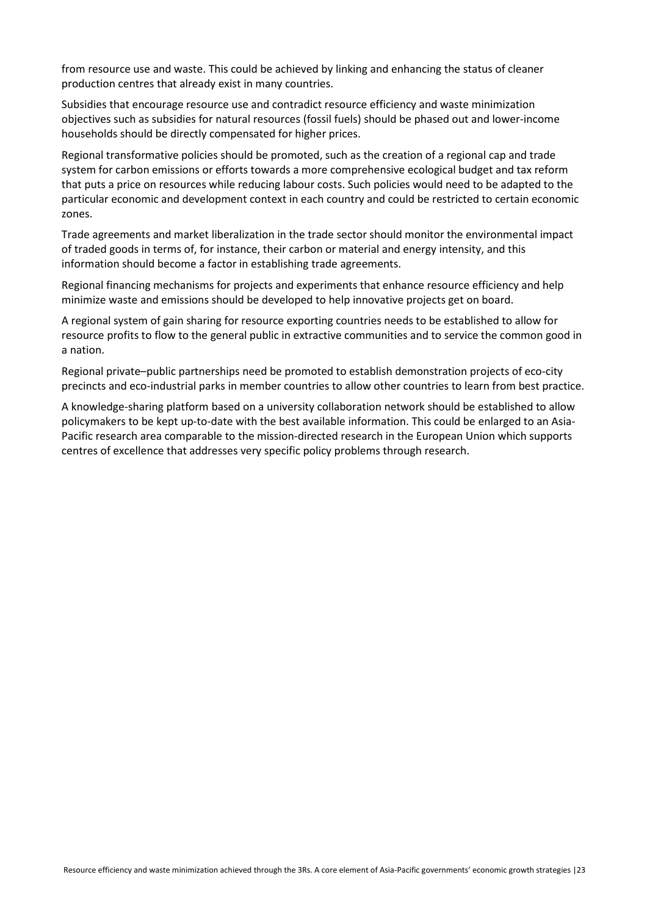from resource use and waste. This could be achieved by linking and enhancing the status of cleaner production centres that already exist in many countries.

Subsidies that encourage resource use and contradict resource efficiency and waste minimization objectives such as subsidies for natural resources (fossil fuels) should be phased out and lower-income households should be directly compensated for higher prices.

Regional transformative policies should be promoted, such as the creation of a regional cap and trade system for carbon emissions or efforts towards a more comprehensive ecological budget and tax reform that puts a price on resources while reducing labour costs. Such policies would need to be adapted to the particular economic and development context in each country and could be restricted to certain economic zones.

Trade agreements and market liberalization in the trade sector should monitor the environmental impact of traded goods in terms of, for instance, their carbon or material and energy intensity, and this information should become a factor in establishing trade agreements.

Regional financing mechanisms for projects and experiments that enhance resource efficiency and help minimize waste and emissions should be developed to help innovative projects get on board.

A regional system of gain sharing for resource exporting countries needs to be established to allow for resource profits to flow to the general public in extractive communities and to service the common good in a nation.

Regional private–public partnerships need be promoted to establish demonstration projects of eco-city precincts and eco-industrial parks in member countries to allow other countries to learn from best practice.

A knowledge-sharing platform based on a university collaboration network should be established to allow policymakers to be kept up-to-date with the best available information. This could be enlarged to an Asia-Pacific research area comparable to the mission-directed research in the European Union which supports centres of excellence that addresses very specific policy problems through research.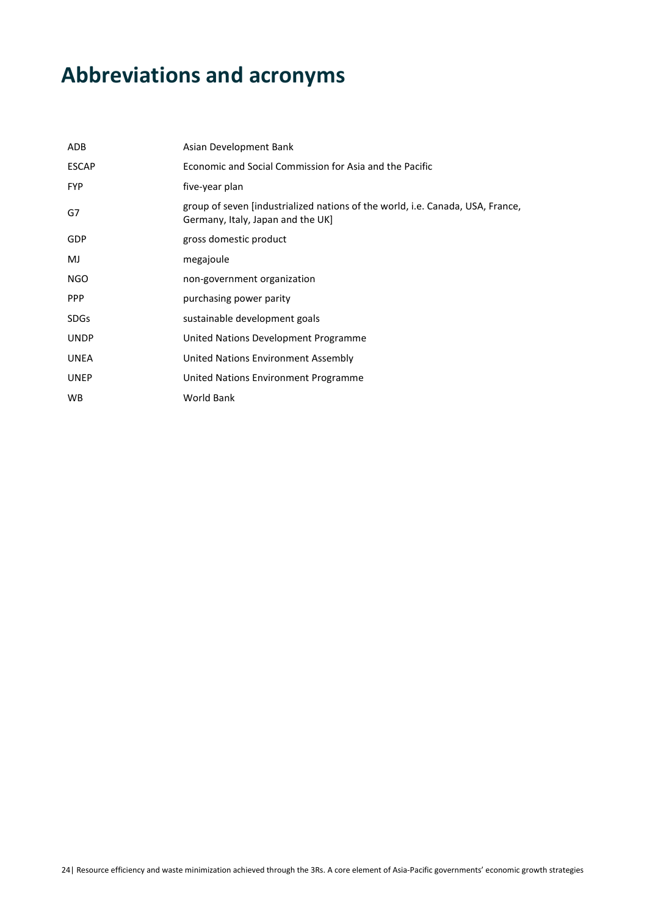# **Abbreviations and acronyms**

| ADB          | Asian Development Bank                                                                                              |
|--------------|---------------------------------------------------------------------------------------------------------------------|
| <b>ESCAP</b> | Economic and Social Commission for Asia and the Pacific                                                             |
| <b>FYP</b>   | five-year plan                                                                                                      |
| G7           | group of seven [industrialized nations of the world, i.e. Canada, USA, France,<br>Germany, Italy, Japan and the UK] |
| <b>GDP</b>   | gross domestic product                                                                                              |
| MJ           | megajoule                                                                                                           |
| NGO          | non-government organization                                                                                         |
| <b>PPP</b>   | purchasing power parity                                                                                             |
| <b>SDGs</b>  | sustainable development goals                                                                                       |
| <b>UNDP</b>  | United Nations Development Programme                                                                                |
| <b>UNEA</b>  | United Nations Environment Assembly                                                                                 |
| <b>UNEP</b>  | United Nations Environment Programme                                                                                |
| <b>WB</b>    | <b>World Bank</b>                                                                                                   |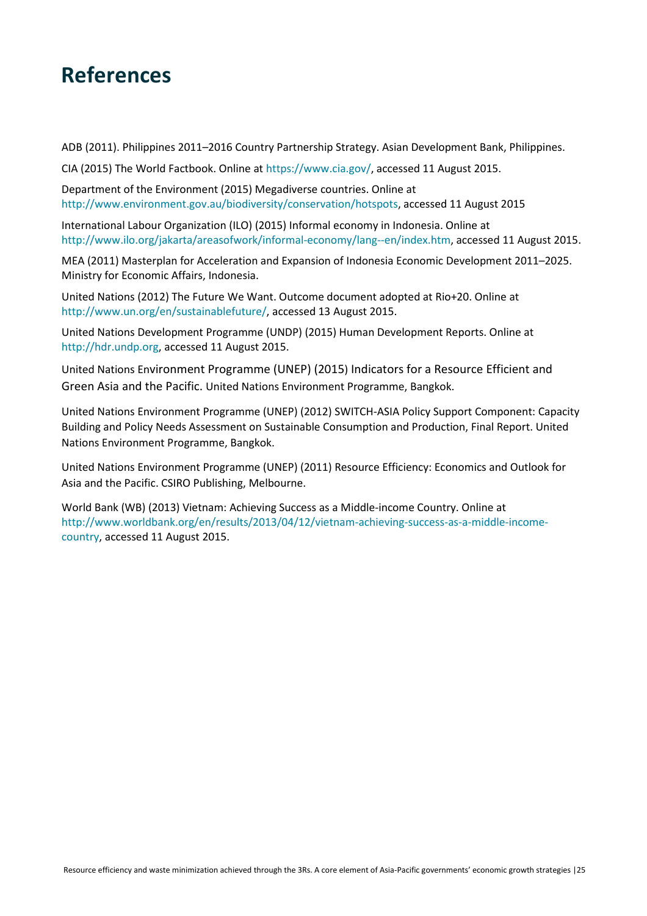## **References**

ADB (2011). Philippines 2011–2016 Country Partnership Strategy. Asian Development Bank, Philippines.

CIA (2015) The World Factbook. Online at https://www.cia.gov/, accessed 11 August 2015.

Department of the Environment (2015) Megadiverse countries. Online at http://www.environment.gov.au/biodiversity/conservation/hotspots, accessed 11 August 2015

International Labour Organization (ILO) (2015) Informal economy in Indonesia. Online at http://www.ilo.org/jakarta/areasofwork/informal-economy/lang--en/index.htm, accessed 11 August 2015.

MEA (2011) Masterplan for Acceleration and Expansion of Indonesia Economic Development 2011–2025. Ministry for Economic Affairs, Indonesia.

United Nations (2012) The Future We Want. Outcome document adopted at Rio+20. Online at http://www.un.org/en/sustainablefuture/, accessed 13 August 2015.

United Nations Development Programme (UNDP) (2015) Human Development Reports. Online at http://hdr.undp.org, accessed 11 August 2015.

United Nations Environment Programme (UNEP) (2015) Indicators for a Resource Efficient and Green Asia and the Pacific. United Nations Environment Programme, Bangkok.

United Nations Environment Programme (UNEP) (2012) SWITCH-ASIA Policy Support Component: Capacity Building and Policy Needs Assessment on Sustainable Consumption and Production, Final Report. United Nations Environment Programme, Bangkok.

United Nations Environment Programme (UNEP) (2011) Resource Efficiency: Economics and Outlook for Asia and the Pacific. CSIRO Publishing, Melbourne.

World Bank (WB) (2013) Vietnam: Achieving Success as a Middle-income Country. Online at http://www.worldbank.org/en/results/2013/04/12/vietnam-achieving-success-as-a-middle-incomecountry, accessed 11 August 2015.